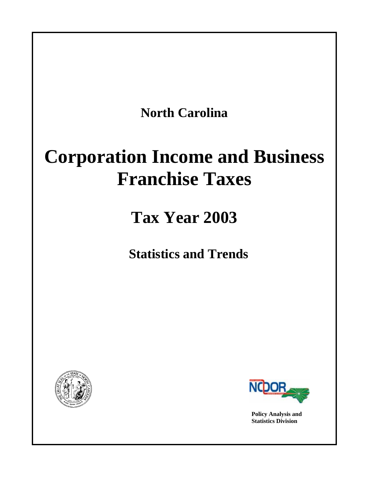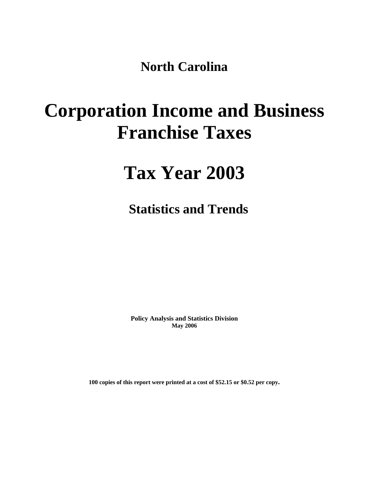**North Carolina** 

# **Corporation Income and Business Franchise Taxes**

# **Tax Year 2003**

**Statistics and Trends** 

**Policy Analysis and Statistics Division May 2006** 

**100 copies of this report were printed at a cost of \$52.15 or \$0.52 per copy.**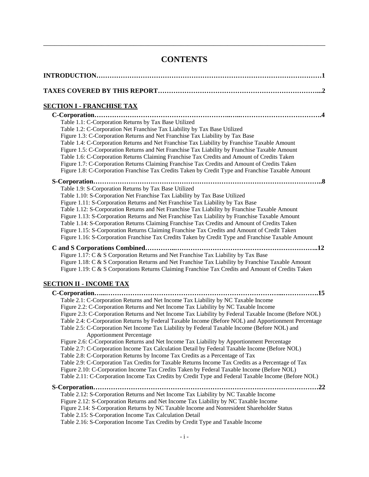# **CONTENTS**

| <u>SECTION I - FRANCHISE TAX</u>                                                                                                                                                                                                                                                                                                                                                                                                                                                                                                                                                                                                                                                                                                                                                                                                                                                                                                                                                                                                                                                                                         |
|--------------------------------------------------------------------------------------------------------------------------------------------------------------------------------------------------------------------------------------------------------------------------------------------------------------------------------------------------------------------------------------------------------------------------------------------------------------------------------------------------------------------------------------------------------------------------------------------------------------------------------------------------------------------------------------------------------------------------------------------------------------------------------------------------------------------------------------------------------------------------------------------------------------------------------------------------------------------------------------------------------------------------------------------------------------------------------------------------------------------------|
| Table 1.1: C-Corporation Returns by Tax Base Utilized<br>Table 1.2: C-Corporation Net Franchise Tax Liability by Tax Base Utilized<br>Figure 1.3: C-Corporation Returns and Net Franchise Tax Liability by Tax Base<br>Table 1.4: C-Corporation Returns and Net Franchise Tax Liability by Franchise Taxable Amount<br>Figure 1.5: C-Corporation Returns and Net Franchise Tax Liability by Franchise Taxable Amount<br>Table 1.6: C-Corporation Returns Claiming Franchise Tax Credits and Amount of Credits Taken<br>Figure 1.7: C-Corporation Returns Claiming Franchise Tax Credits and Amount of Credits Taken<br>Figure 1.8: C-Corporation Franchise Tax Credits Taken by Credit Type and Franchise Taxable Amount                                                                                                                                                                                                                                                                                                                                                                                                 |
| Table 1.9: S-Corporation Returns by Tax Base Utilized<br>Table 1.10: S-Corporation Net Franchise Tax Liability by Tax Base Utilized<br>Figure 1.11: S-Corporation Returns and Net Franchise Tax Liability by Tax Base<br>Table 1.12: S-Corporation Returns and Net Franchise Tax Liability by Franchise Taxable Amount<br>Figure 1.13: S-Corporation Returns and Net Franchise Tax Liability by Franchise Taxable Amount<br>Table 1.14: S-Corporation Returns Claiming Franchise Tax Credits and Amount of Credits Taken<br>Figure 1.15: S-Corporation Returns Claiming Franchise Tax Credits and Amount of Credit Taken<br>Figure 1.16: S-Corporation Franchise Tax Credits Taken by Credit Type and Franchise Taxable Amount                                                                                                                                                                                                                                                                                                                                                                                           |
| Figure 1.17: C & S Corporation Returns and Net Franchise Tax Liability by Tax Base<br>Figure 1.18: C & S Corporation Returns and Net Franchise Tax Liability by Franchise Taxable Amount<br>Figure 1.19: C & S Corporations Returns Claiming Franchise Tax Credits and Amount of Credits Taken                                                                                                                                                                                                                                                                                                                                                                                                                                                                                                                                                                                                                                                                                                                                                                                                                           |
| <b>SECTION II - INCOME TAX</b>                                                                                                                                                                                                                                                                                                                                                                                                                                                                                                                                                                                                                                                                                                                                                                                                                                                                                                                                                                                                                                                                                           |
| Table 2.1: C-Corporation Returns and Net Income Tax Liability by NC Taxable Income<br>Figure 2.2: C-Corporation Returns and Net Income Tax Liability by NC Taxable Income<br>Figure 2.3: C-Corporation Returns and Net Income Tax Liability by Federal Taxable Income (Before NOL)<br>Table 2.4: C-Corporation Returns by Federal Taxable Income (Before NOL) and Apportionment Percentage<br>Table 2.5: C-Corporation Net Income Tax Liability by Federal Taxable Income (Before NOL) and<br><b>Apportionment Percentage</b><br>Figure 2.6: C-Corporation Returns and Net Income Tax Liability by Apportionment Percentage<br>Table 2.7: C-Corporation Income Tax Calculation Detail by Federal Taxable Income (Before NOL)<br>Table 2.8: C-Corporation Returns by Income Tax Credits as a Percentage of Tax<br>Table 2.9: C-Corporation Tax Credits for Taxable Returns Income Tax Credits as a Percentage of Tax<br>Figure 2.10: C-Corporation Income Tax Credits Taken by Federal Taxable Income (Before NOL)<br>Table 2.11: C-Corporation Income Tax Credits by Credit Type and Federal Taxable Income (Before NOL) |
| Table 2.12: S-Corporation Returns and Net Income Tax Liability by NC Taxable Income<br>Figure 2.12: S-Corporation Returns and Net Income Tax Liability by NC Taxable Income<br>Figure 2.14: S-Corporation Returns by NC Taxable Income and Nonresident Shareholder Status<br>Table 2.15: S-Corporation Income Tax Calculation Detail<br>Table 2.16: S-Corporation Income Tax Credits by Credit Type and Taxable Income                                                                                                                                                                                                                                                                                                                                                                                                                                                                                                                                                                                                                                                                                                   |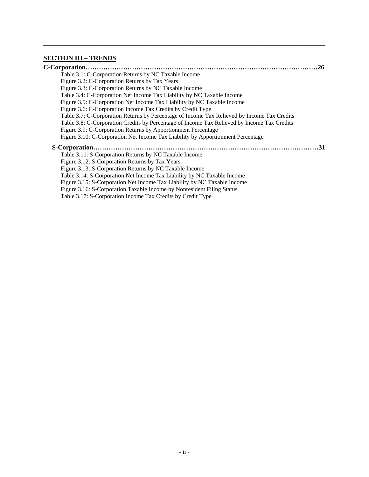# **SECTION III – TRENDS**

| .26                                                                                         |
|---------------------------------------------------------------------------------------------|
| Table 3.1: C-Corporation Returns by NC Taxable Income                                       |
| Figure 3.2: C-Corporation Returns by Tax Years                                              |
| Figure 3.3: C-Corporation Returns by NC Taxable Income                                      |
| Table 3.4: C-Corporation Net Income Tax Liability by NC Taxable Income                      |
| Figure 3.5: C-Corporation Net Income Tax Liability by NC Taxable Income                     |
| Figure 3.6: C-Corporation Income Tax Credits by Credit Type                                 |
| Table 3.7: C-Corporation Returns by Percentage of Income Tax Relieved by Income Tax Credits |
| Table 3.8: C-Corporation Credits by Percentage of Income Tax Relieved by Income Tax Credits |
| Figure 3.9: C-Corporation Returns by Apportionment Percentage                               |
| Figure 3.10: C-Corporation Net Income Tax Liability by Apportionment Percentage             |
| .31                                                                                         |
| Table 3.11: S-Corporation Returns by NC Taxable Income                                      |
| Figure 3.12: S-Corporation Returns by Tax Years                                             |
| Figure 3.13: S-Corporation Returns by NC Taxable Income                                     |
| Table 3.14: S-Corporation Net Income Tax Liability by NC Taxable Income                     |
| Figure 3.15: S-Corporation Net Income Tax Liability by NC Taxable Income                    |
| Figure 3.16: S-Corporation Taxable Income by Nonresident Filing Status                      |
| Table 3.17: S-Corporation Income Tax Credits by Credit Type                                 |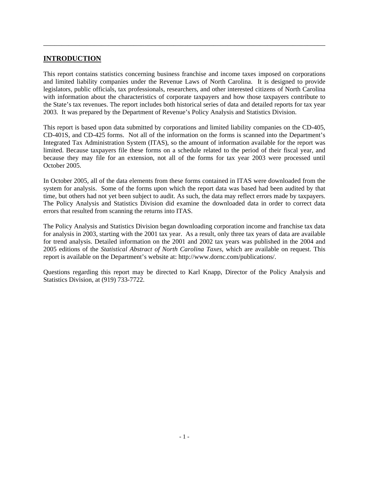## **INTRODUCTION**

This report contains statistics concerning business franchise and income taxes imposed on corporations and limited liability companies under the Revenue Laws of North Carolina. It is designed to provide legislators, public officials, tax professionals, researchers, and other interested citizens of North Carolina with information about the characteristics of corporate taxpayers and how those taxpayers contribute to the State's tax revenues. The report includes both historical series of data and detailed reports for tax year 2003. It was prepared by the Department of Revenue's Policy Analysis and Statistics Division.

<span id="page-4-0"></span>\_\_\_\_\_\_\_\_\_\_\_\_\_\_\_\_\_\_\_\_\_\_\_\_\_\_\_\_\_\_\_\_\_\_\_\_\_\_\_\_\_\_\_\_\_\_\_\_\_\_\_\_\_\_\_\_\_\_\_\_\_\_\_\_\_\_\_\_\_\_\_\_\_\_\_\_\_\_

This report is based upon data submitted by corporations and limited liability companies on the CD-405, CD-401S, and CD-425 forms. Not all of the information on the forms is scanned into the Department's Integrated Tax Administration System (ITAS), so the amount of information available for the report was limited. Because taxpayers file these forms on a schedule related to the period of their fiscal year, and because they may file for an extension, not all of the forms for tax year 2003 were processed until October 2005.

In October 2005, all of the data elements from these forms contained in ITAS were downloaded from the system for analysis. Some of the forms upon which the report data was based had been audited by that time, but others had not yet been subject to audit. As such, the data may reflect errors made by taxpayers. The Policy Analysis and Statistics Division did examine the downloaded data in order to correct data errors that resulted from scanning the returns into ITAS.

The Policy Analysis and Statistics Division began downloading corporation income and franchise tax data for analysis in 2003, starting with the 2001 tax year. As a result, only three tax years of data are available for trend analysis. Detailed information on the 2001 and 2002 tax years was published in the 2004 and 2005 editions of the *Statistical Abstract of North Carolina Taxes*, which are available on request. This report is available on the Department's website at: http://www.dornc.com/publications/.

Questions regarding this report may be directed to Karl Knapp, Director of the Policy Analysis and Statistics Division, at (919) 733-7722.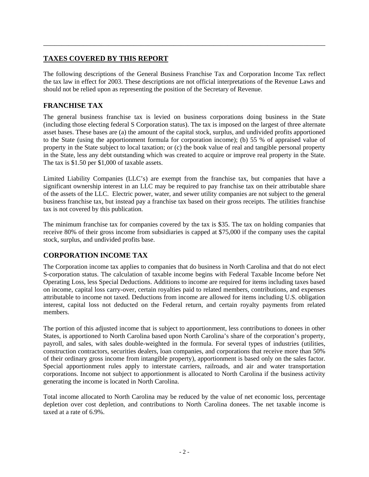# **TAXES COVERED BY THIS REPORT**

The following descriptions of the General Business Franchise Tax and Corporation Income Tax reflect the tax law in effect for 2003. These descriptions are not official interpretations of the Revenue Laws and should not be relied upon as representing the position of the Secretary of Revenue.

<span id="page-5-0"></span>\_\_\_\_\_\_\_\_\_\_\_\_\_\_\_\_\_\_\_\_\_\_\_\_\_\_\_\_\_\_\_\_\_\_\_\_\_\_\_\_\_\_\_\_\_\_\_\_\_\_\_\_\_\_\_\_\_\_\_\_\_\_\_\_\_\_\_\_\_\_\_\_\_\_\_\_\_\_

# **FRANCHISE TAX**

The general business franchise tax is levied on business corporations doing business in the State (including those electing federal S Corporation status). The tax is imposed on the largest of three alternate asset bases. These bases are (a) the amount of the capital stock, surplus, and undivided profits apportioned to the State (using the apportionment formula for corporation income); (b) 55 % of appraised value of property in the State subject to local taxation; or (c) the book value of real and tangible personal property in the State, less any debt outstanding which was created to acquire or improve real property in the State. The tax is \$1.50 per \$1,000 of taxable assets.

Limited Liability Companies (LLC's) are exempt from the franchise tax, but companies that have a significant ownership interest in an LLC may be required to pay franchise tax on their attributable share of the assets of the LLC. Electric power, water, and sewer utility companies are not subject to the general business franchise tax, but instead pay a franchise tax based on their gross receipts. The utilities franchise tax is not covered by this publication.

The minimum franchise tax for companies covered by the tax is \$35. The tax on holding companies that receive 80% of their gross income from subsidiaries is capped at \$75,000 if the company uses the capital stock, surplus, and undivided profits base.

# **CORPORATION INCOME TAX**

The Corporation income tax applies to companies that do business in North Carolina and that do not elect S-corporation status. The calculation of taxable income begins with Federal Taxable Income before Net Operating Loss, less Special Deductions. Additions to income are required for items including taxes based on income, capital loss carry-over, certain royalties paid to related members, contributions, and expenses attributable to income not taxed. Deductions from income are allowed for items including U.S. obligation interest, capital loss not deducted on the Federal return, and certain royalty payments from related members.

The portion of this adjusted income that is subject to apportionment, less contributions to donees in other States, is apportioned to North Carolina based upon North Carolina's share of the corporation's property, payroll, and sales, with sales double-weighted in the formula. For several types of industries (utilities, construction contractors, securities dealers, loan companies, and corporations that receive more than 50% of their ordinary gross income from intangible property), apportionment is based only on the sales factor. Special apportionment rules apply to interstate carriers, railroads, and air and water transportation corporations. Income not subject to apportionment is allocated to North Carolina if the business activity generating the income is located in North Carolina.

Total income allocated to North Carolina may be reduced by the value of net economic loss, percentage depletion over cost depletion, and contributions to North Carolina donees. The net taxable income is taxed at a rate of 6.9%.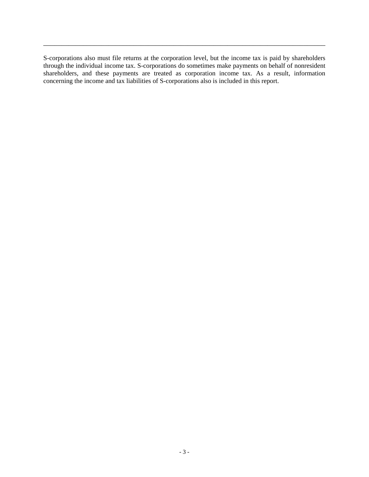S-corporations also must file returns at the corporation level, but the income tax is paid by shareholders through the individual income tax. S-corporations do sometimes make payments on behalf of nonresident shareholders, and these payments are treated as corporation income tax. As a result, information concerning the income and tax liabilities of S-corporations also is included in this report.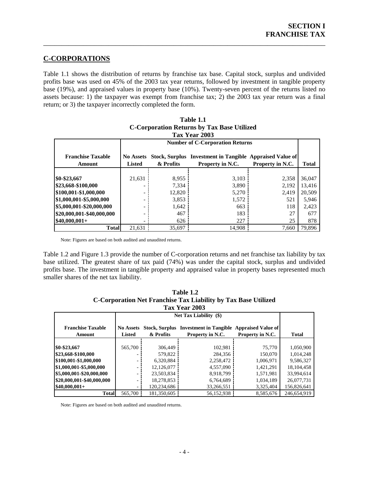### **C-CORPORATIONS**

Table 1.1 shows the distribution of returns by franchise tax base. Capital stock, surplus and undivided profits base was used on 45% of the 2003 tax year returns, followed by investment in tangible property base (19%), and appraised values in property base (10%). Twenty-seven percent of the returns listed no assets because: 1) the taxpayer was exempt from franchise tax; 2) the 2003 tax year return was a final return; or 3) the taxpayer incorrectly completed the form.

<span id="page-7-0"></span>\_\_\_\_\_\_\_\_\_\_\_\_\_\_\_\_\_\_\_\_\_\_\_\_\_\_\_\_\_\_\_\_\_\_\_\_\_\_\_\_\_\_\_\_\_\_\_\_\_\_\_\_\_\_\_\_\_\_\_\_\_\_\_\_\_\_\_\_\_\_\_\_\_\_\_\_\_\_

| Tax Year 2003                             |                                   |                                        |                                                                              |                  |              |  |  |
|-------------------------------------------|-----------------------------------|----------------------------------------|------------------------------------------------------------------------------|------------------|--------------|--|--|
|                                           |                                   | <b>Number of C-Corporation Returns</b> |                                                                              |                  |              |  |  |
| <b>Franchise Taxable</b><br><b>Amount</b> | <b>No Assets</b><br><b>Listed</b> | & Profits                              | Stock, Surplus Investment in Tangible Appraised Value of<br>Property in N.C. | Property in N.C. | <b>Total</b> |  |  |
|                                           |                                   |                                        |                                                                              |                  |              |  |  |
| \$0-\$23,667                              | 21,631                            | 8,955                                  | 3,103                                                                        | 2,358            | 36,047       |  |  |
| \$23,668-\$100,000                        |                                   | 7,334                                  | 3,890                                                                        | 2,192            | 13,416       |  |  |
| \$100,001-\$1,000,000                     |                                   | 12,820                                 | 5,270                                                                        | 2.419            | 20,509       |  |  |
| \$1,000,001-\$5,000,000                   |                                   | 3,853                                  | 1,572                                                                        | 521              | 5,946        |  |  |
| \$5,000,001-\$20,000,000                  |                                   | 1,642                                  | 663                                                                          | 118              | 2,423        |  |  |
| \$20,000,001-\$40,000,000                 |                                   | 467                                    | 183                                                                          | 27               | 677          |  |  |
| $$40,000,001+$                            |                                   | 626                                    | 227                                                                          | 25               | 878          |  |  |
| <b>Total</b>                              | 21.631                            | 35,697                                 | 14.908                                                                       | 7,660            | 79,896       |  |  |

# **Table 1.1 C-Corporation Returns by Tax Base Utilized**

Note: Figures are based on both audited and unaudited re turns.

Table 1.2 and Figure 1.3 provide the number of C-corporation returns and net franchise tax liability by tax base utilized. The greatest share of tax paid (74%) was under the capital stock, surplus and undivided profits base. The investment in tangible property and appraised value in property bases represented much smaller shares of the net tax liability.

| Tax Year 2003                      |                                   |             |                                                                  |                                               |              |  |  |
|------------------------------------|-----------------------------------|-------------|------------------------------------------------------------------|-----------------------------------------------|--------------|--|--|
|                                    |                                   |             |                                                                  |                                               |              |  |  |
| <b>Franchise Taxable</b><br>Amount | <b>No Assets</b><br><b>Listed</b> | & Profits   | <b>Stock, Surplus</b> Investment in Tangible<br>Property in N.C. | <b>Appraised Value of</b><br>Property in N.C. | <b>Total</b> |  |  |
| \$0-\$23,667                       | 565,700                           | 306,449     | 102,981                                                          | 75,770                                        | 1,050,900    |  |  |
| \$23,668-\$100,000                 |                                   | 579,822     | 284,356                                                          | 150,070                                       | 1.014.248    |  |  |
| \$100,001-\$1,000,000              |                                   | 6,320,884   | 2,258,472                                                        | 1,006,971                                     | 9,586,327    |  |  |
| \$1,000,001-\$5,000,000            |                                   | 12,126,077  | 4,557,090                                                        | 1.421.291                                     | 18,104,458   |  |  |
| \$5,000,001-\$20,000,000           |                                   | 23,503,834  | 8,918,799                                                        | 1,571,981                                     | 33,994,614   |  |  |
| \$20,000,001-\$40,000,000          |                                   | 18,278,853  | 6,764,689                                                        | 1,034,189                                     | 26,077,731   |  |  |
| $$40,000,001+$                     |                                   | 120,234,686 | 33,266,551                                                       | 3,325,404                                     | 156,826,641  |  |  |
| <b>Total</b>                       | 565,700                           | 181.350.605 | 56,152,938                                                       | 8,585,676                                     | 246,654,919  |  |  |

| Table 1.2                                                      |
|----------------------------------------------------------------|
| C-Corporation Net Franchise Tax Liability by Tax Base Utilized |
| Tav Year 2003                                                  |

Note: Figures are based on both audited and unaudited returns.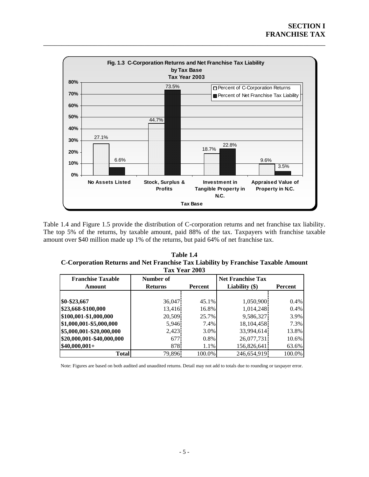

Table 1.4 and Figure 1.5 provide the distribution of C-corporation returns and net franchise tax liability. The top 5% of the returns, by taxable amount, paid 88% of the tax. Taxpayers with franchise taxable amount over \$40 million made up 1% of the returns, but paid 64% of net franchise tax.

**Table 1.4 C-Corporation Returns and Net Franchise Tax Liability by Franchise Taxable Amount Tax Year 2003** 

| <b>Franchise Taxable</b>  | Number of        |         | <b>Net Franchise Tax</b> |         |
|---------------------------|------------------|---------|--------------------------|---------|
| Amount                    | <b>Returns</b>   | Percent | Liability $(\$)$         | Percent |
|                           |                  |         |                          |         |
| \$0-\$23,667              | 36,047           | 45.1%   | 1,050,900                | 0.4%    |
| \$23,668-\$100,000        | 13,416           | 16.8%   | 1,014,248                | 0.4%    |
| \$100,001-\$1,000,000     | 20,509           | 25.7%   | 9,586,327                | 3.9%    |
| \$1,000,001-\$5,000,000   | 5,946            | 7.4%    | 18, 104, 458             | 7.3%    |
| \$5,000,001-\$20,000,000  | 2,423            | 3.0%    | 33,994,614               | 13.8%   |
| \$20,000,001-\$40,000,000 | 677 <sup>1</sup> | 0.8%    | 26,077,731               | 10.6%   |
| $$40,000,001+$            | 8781             | 1.1%    | 156,826,641              | 63.6%   |
| <b>Total</b>              | 79,896           | 100.0%  | 246,654,919              | 100.0%  |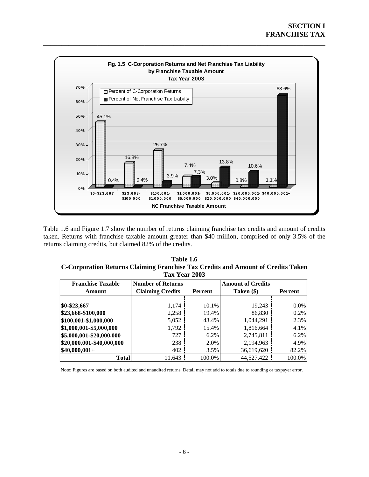

Table 1.6 and Figure 1.7 show the number of returns claiming franchise tax credits and amount of credits taken. Returns with franchise taxable amount greater than \$40 million, comprised of only 3.5% of the returns claiming credits, but claimed 82% of the credits.

| Table 1.6                                                                        |
|----------------------------------------------------------------------------------|
| C-Corporation Returns Claiming Franchise Tax Credits and Amount of Credits Taken |
| Tax Year 2003                                                                    |

| <b>Franchise Taxable</b><br>Amount | <b>Number of Returns</b><br><b>Claiming Credits</b> | Percent | <b>Amount of Credits</b><br>Taken (\$) | Percent |  |  |  |  |
|------------------------------------|-----------------------------------------------------|---------|----------------------------------------|---------|--|--|--|--|
|                                    |                                                     |         |                                        |         |  |  |  |  |
| \$0-\$23,667                       | 1,174                                               | 10.1%   | 19,243                                 | $0.0\%$ |  |  |  |  |
| \$23,668-\$100,000                 | 2,258                                               | 19.4%   | 86,830                                 | 0.2%    |  |  |  |  |
| \$100,001-\$1,000,000              | 5,052                                               | 43.4%   | 1,044,291                              | 2.3%    |  |  |  |  |
| \$1,000,001-\$5,000,000            | 1,792                                               | 15.4%   | 1,816,664                              | 4.1%    |  |  |  |  |
| \$5,000,001-\$20,000,000           | 727                                                 | 6.2%    | 2,745,811                              | 6.2%    |  |  |  |  |
| \$20,000,001-\$40,000,000          | 238                                                 | 2.0%    | 2,194,963                              | 4.9%    |  |  |  |  |
| $$40,000,001+$                     | 402                                                 | 3.5%    | 36,619,620                             | 82.2%   |  |  |  |  |
| <b>Total</b>                       | 11.643                                              | 100.0%  | 44,527,422                             | 100.0%  |  |  |  |  |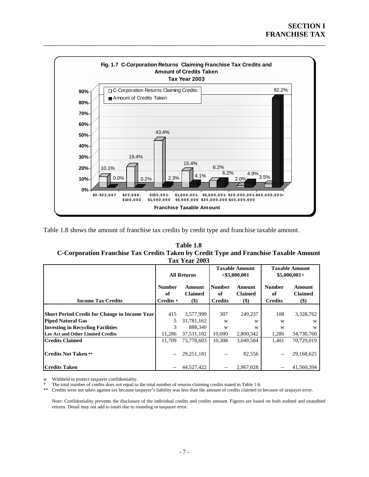

Table 1.8 shows the amount of franchise tax credits by credit type and franchise taxable amount.

| Table 1.8                                                                             |
|---------------------------------------------------------------------------------------|
| C-Corporation Franchise Tax Credits Taken by Credit Type and Franchise Taxable Amount |
| Tax Year 2003                                                                         |

|                                                      | <b>All Returns</b>               |                                 | <b>Taxable Amount</b><br>$<$ \$5,000,001 |                                                       | <b>Taxable Amount</b><br>$$5,000,001+$ |                                   |
|------------------------------------------------------|----------------------------------|---------------------------------|------------------------------------------|-------------------------------------------------------|----------------------------------------|-----------------------------------|
| <b>Income Tax Credits</b>                            | <b>Number</b><br>of<br>Credits * | Amount<br><b>Claimed</b><br>\$) | <b>Number</b><br>of<br><b>Credits</b>    | Amount<br><b>Claimed</b><br>$\left( \text{\$}\right)$ | <b>Number</b><br>of<br><b>Credits</b>  | Amount<br><b>Claimed</b><br>$($)$ |
|                                                      |                                  |                                 |                                          |                                                       |                                        |                                   |
| <b>Short Period Credit for Change in Income Year</b> | 415                              | 3,577,999                       | 307                                      | 249.237                                               | 108                                    | 3,328,762                         |
| <b>Piped Natural Gas</b>                             | 5                                | 31,781,162                      | W                                        | W                                                     | W                                      | W                                 |
| <b>Investing in Recycling Facilities</b>             | 3                                | 888,340                         | W                                        | W                                                     | W                                      | W                                 |
| Lee Act and Other Limited Credits                    | 11,286                           | 37,531,102                      | 10,000                                   | 2,800,342                                             | 1,286                                  | 34,730,760                        |
| <b>Credits Claimed</b>                               | 11.709                           | 73,778,603                      | 10.308                                   | 3,049,584                                             | 1.401                                  | 70.729.019                        |
| <b>Credits Not Taken **</b>                          | $-$                              | 29,251,181                      |                                          | 82,556                                                | $-$                                    | 29,168,625                        |
| <b>Credits Taken</b>                                 | $-$                              | 44,527,422                      |                                          | 2,967,028                                             |                                        | 41.560.394                        |

w Withheld to protect taxpayer confidentiality.

\* The total number of credits does not equal to the total number of returns claiming credits stated in Table 1.6.

\*\* Credits were not taken against tax because taxpayer's liability was less than the amount of credits claimed or because of taxpayer error.

Note: Confidentiality prevents the disclosure of the individual credits and credits amount. Figures are based on both audited and unaudited returns. Detail may not add to totals due to rounding or taxpayer error.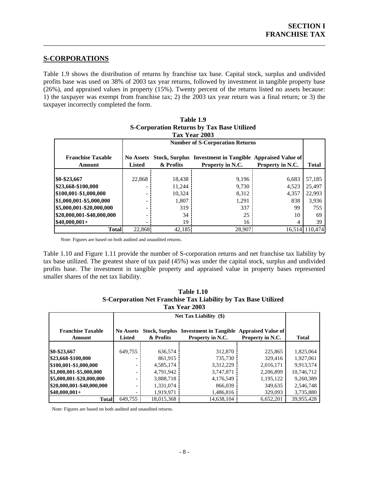### **S-CORPORATIONS**

Table 1.9 shows the distribution of returns by franchise tax base. Capital stock, surplus and undivided profits base was used on 38% of 2003 tax year returns, followed by investment in tangible property base (26%), and appraised values in property (15%). Twenty percent of the returns listed no assets because: 1) the taxpayer was exempt from franchise tax; 2) the 2003 tax year return was a final return; or 3) the taxpayer incorrectly completed the form.

<span id="page-11-0"></span>\_\_\_\_\_\_\_\_\_\_\_\_\_\_\_\_\_\_\_\_\_\_\_\_\_\_\_\_\_\_\_\_\_\_\_\_\_\_\_\_\_\_\_\_\_\_\_\_\_\_\_\_\_\_\_\_\_\_\_\_\_\_\_\_\_\_\_\_\_\_\_\_\_\_\_\_\_\_

| Tax Year 2003                      |                                        |           |                                                                              |                  |                |  |  |
|------------------------------------|----------------------------------------|-----------|------------------------------------------------------------------------------|------------------|----------------|--|--|
|                                    | <b>Number of S-Corporation Returns</b> |           |                                                                              |                  |                |  |  |
| <b>Franchise Taxable</b><br>Amount | <b>No Assets</b><br><b>Listed</b>      | & Profits | Stock, Surplus Investment in Tangible Appraised Value of<br>Property in N.C. | Property in N.C. | <b>Total</b>   |  |  |
| \$0-\$23,667                       | 22,868                                 | 18,438    | 9,196                                                                        | 6,683            | 57,185         |  |  |
| \$23,668-\$100,000                 |                                        | 11,244    | 9,730                                                                        | 4,523            | 25,497         |  |  |
| \$100,001-\$1,000,000              |                                        | 10,324    | 8,312                                                                        | 4,357            | 22,993         |  |  |
| \$1,000,001-\$5,000,000            |                                        | 1,807     | 1,291                                                                        | 838              | 3,936          |  |  |
| \$5,000,001-\$20,000,000           |                                        | 319       | 337                                                                          | 99               | 755            |  |  |
| \$20,000,001-\$40,000,000          |                                        | 34        | 25                                                                           | 10               | 69             |  |  |
| $$40,000,001+$                     |                                        | 19        | 16                                                                           | 4                | 39             |  |  |
| <b>Total</b>                       | 22.868                                 | 42.185    | 28,907                                                                       |                  | 16.514 110.474 |  |  |

# **Table 1.9 S-Corporation Returns by Tax Base Utilized**

Note: Figures are based on both audited and unaudited returns.

Table 1.10 and Figure 1.11 provide the number of S-corporation returns and net franchise tax liability by tax base utilized. The greatest share of tax paid (45%) was under the capital stock, surplus and undivided profits base. The investment in tangible property and appraised value in property bases represented smaller shares of the net tax liability.

| <b>Table 1.10</b>                                              |  |
|----------------------------------------------------------------|--|
| S-Corporation Net Franchise Tax Liability by Tax Base Utilized |  |
| <b>Tax Year 2003</b>                                           |  |

|                                    |                                   | Net Tax Liability $(\$)$           |                                                   |                                               |              |  |  |  |
|------------------------------------|-----------------------------------|------------------------------------|---------------------------------------------------|-----------------------------------------------|--------------|--|--|--|
| <b>Franchise Taxable</b><br>Amount | <b>No Assets</b><br><b>Listed</b> | <b>Stock, Surplus</b><br>& Profits | <b>Investment in Tangible</b><br>Property in N.C. | <b>Appraised Value of</b><br>Property in N.C. | <b>Total</b> |  |  |  |
|                                    |                                   |                                    |                                                   |                                               |              |  |  |  |
| \$0-\$23,667                       | 649,755                           | 636,574                            | 312,870                                           | 225,865                                       | 1,825,064    |  |  |  |
| \$23,668-\$100,000                 | $\overline{\phantom{a}}$          | 861.915                            | 735,730                                           | 329,416                                       | 1,927,061    |  |  |  |
| \$100,001-\$1,000,000              | $\overline{\phantom{a}}$          | 4,585,174                          | 3,312,229                                         | 2,016,171                                     | 9,913,574    |  |  |  |
| \$1,000,001-\$5,000,000            |                                   | 4.791.942                          | 3,747,871                                         | 2,206,899                                     | 10,746,712   |  |  |  |
| \$5,000,001-\$20,000,000           | $\overline{\phantom{0}}$          | 3,888,718                          | 4,176,549                                         | 1,195,122                                     | 9,260,389    |  |  |  |
| \$20,000,001-\$40,000,000          | $\overline{\phantom{0}}$          | 1,331,074                          | 866,039                                           | 349,635                                       | 2,546,748    |  |  |  |
| $$40,000,001+$                     | $\overline{\phantom{a}}$          | 1,919,971                          | 1,486,816                                         | 329,093                                       | 3,735,880    |  |  |  |
| <b>Total</b>                       | 649.755                           | 18,015,368                         | 14,638,104                                        | 6,652,201                                     | 39,955,428   |  |  |  |

Note: Figures are based on both audited and unaudited returns.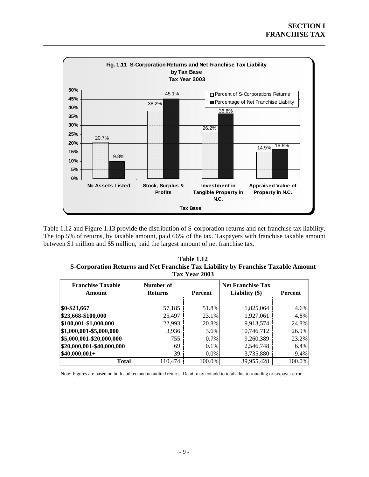

Table 1.12 and Figure 1.13 provide the distribution of S-corporation returns and net franchise tax liability. The top 5% of returns, by taxable amount, paid 66% of the tax. Taxpayers with franchise taxable amount between \$1 million and \$5 million, paid the largest amount of net franchise tax.

| <b>Table 1.12</b>                                                                 |
|-----------------------------------------------------------------------------------|
| S-Corporation Returns and Net Franchise Tax Liability by Franchise Taxable Amount |
| <b>Tax Year 2003</b>                                                              |

| <b>Franchise Taxable</b><br>Number of<br><b>Returns</b><br>Amount |         | <b>Net Franchise Tax</b><br>Liability $(\$)$<br>Percent<br>Percent |            |        |  |  |
|-------------------------------------------------------------------|---------|--------------------------------------------------------------------|------------|--------|--|--|
|                                                                   |         |                                                                    |            |        |  |  |
| \$0-\$23,667                                                      | 57,185  | 51.8%                                                              | 1,825,064  | 4.6%   |  |  |
| \$23,668-\$100,000                                                | 25,497  | 23.1%                                                              | 1,927,061  | 4.8%   |  |  |
| \$100,001-\$1,000,000                                             | 22,993  | 20.8%                                                              | 9,913,574  | 24.8%  |  |  |
| \$1,000,001-\$5,000,000                                           | 3,936   | $3.6\%$                                                            | 10,746,712 | 26.9%  |  |  |
| \$5,000,001-\$20,000,000                                          | 755     | $0.7\%$                                                            | 9,260,389  | 23.2%  |  |  |
| \$20,000,001-\$40,000,000                                         | 69      | $0.1\%$                                                            | 2,546,748  | 6.4%   |  |  |
| $$40,000,001+$                                                    | 39      | $0.0\%$                                                            | 3,735,880  | 9.4%   |  |  |
| <b>Total</b>                                                      | 110,474 | 100.0%                                                             | 39,955,428 | 100.0% |  |  |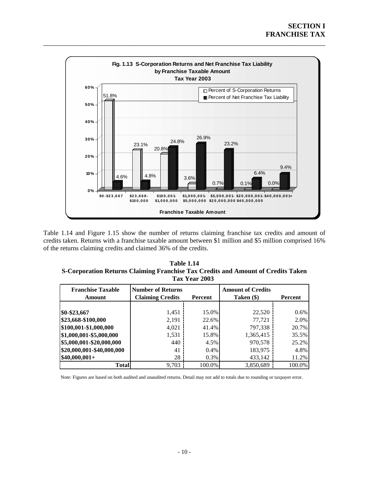

Table 1.14 and Figure 1.15 show the number of returns claiming franchise tax credits and amount of credits taken. Returns with a franchise taxable amount between \$1 million and \$5 million comprised 16% of the returns claiming credits and claimed 36% of the credits.

| Table 1.14                                                                       |
|----------------------------------------------------------------------------------|
| S-Corporation Returns Claiming Franchise Tax Credits and Amount of Credits Taken |
| Tax Year 2003                                                                    |

| <b>Franchise Taxable</b><br>Amount | <b>Number of Returns</b><br><b>Claiming Credits</b> | Percent | <b>Amount of Credits</b><br>Taken (\$) | Percent |
|------------------------------------|-----------------------------------------------------|---------|----------------------------------------|---------|
|                                    |                                                     |         |                                        |         |
| \$0-\$23,667                       | 1,451                                               | 15.0%   | 22,520                                 | 0.6%    |
| \$23,668-\$100,000                 | 2,191                                               | 22.6%   | 77.721                                 | 2.0%    |
| \$100,001-\$1,000,000              | 4,021                                               | 41.4%   | 797,338                                | 20.7%   |
| \$1,000,001-\$5,000,000            | 1,531                                               | 15.8%   | 1,365,415                              | 35.5%   |
| \$5,000,001-\$20,000,000           | 440                                                 | 4.5%    | 970,578                                | 25.2%   |
| \$20,000,001-\$40,000,000          | 41                                                  | $0.4\%$ | 183,975                                | 4.8%    |
| $$40,000,001+$                     | 28                                                  | $0.3\%$ | 433,142                                | 11.2%   |
| <b>Total</b>                       | 9.703                                               | 100.0%  | 3.850.689                              | 100.0%  |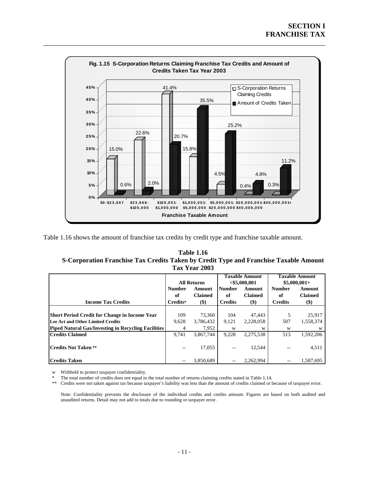

Table 1.16 shows the amount of franchise tax credits by credit type and franchise taxable amount.

#### **Table 1.16**  S-Corporation Franchise Tax Credits Taken by Credit Type and Franchise Taxable Amount **Tax Year 2003**

|                                                            |                                                 | <b>All Returns</b> |                     | <b>Taxable Amount</b><br>$<$ \$5,000,001 |                     | <b>Taxable Amount</b><br>$$5,000,001+$ |
|------------------------------------------------------------|-------------------------------------------------|--------------------|---------------------|------------------------------------------|---------------------|----------------------------------------|
|                                                            | <b>Number</b><br>Amount<br><b>Claimed</b><br>of |                    | <b>Number</b><br>of | Amount<br><b>Claimed</b>                 | <b>Number</b><br>of | Amount<br><b>Claimed</b>               |
| <b>Income Tax Credits</b>                                  | Credits*                                        | $($)$              | <b>Credits</b>      | \$)                                      | <b>Credits</b>      | $($)$                                  |
|                                                            |                                                 |                    |                     |                                          |                     |                                        |
| <b>Short Period Credit for Change in Income Year</b>       | 109                                             | 73,360             | 104                 | 47.443                                   |                     | 25,917                                 |
| Lee Act and Other Limited Credits                          | 9,628                                           | 3,786,432          | 9,121               | 2,228,058                                | 507                 | 1,558,374                              |
| <b>Piped Natural Gas/Investing in Recycling Facilities</b> | 4                                               | 7,952              | W                   | W                                        | W                   | W                                      |
| <b>Credits Claimed</b>                                     | 9.741                                           | 3.867.744          | 9,228               | 2,275,538                                | 513                 | 1,592,206                              |
| <b>Credits Not Taken **</b>                                | --                                              | 17.055             |                     | 12.544                                   |                     | 4,511                                  |
| <b>Credits Taken</b>                                       | $- -$                                           | 3.850.689          |                     | 2.262.994                                |                     | 1.587.695                              |

w Withheld to protect taxpayer confidentiality.

The total number of credits does not equal to the total number of returns claiming credits stated in Table 1.14.

\*\* Credits were not taken against tax because taxpayer's liability was less than the amount of credits claimed or because of taxpayer error.

Note: Confidentiality prevents the disclosure of the individual credits and credits amount. Figures are based on both audited and unaudited returns. Detail may not add to totals due to rounding or taxpayer error.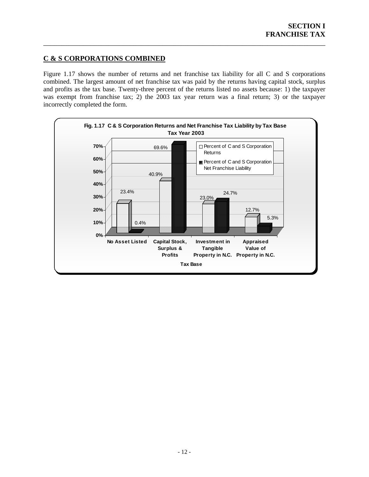# <span id="page-15-0"></span>**C & S CORPORATIONS COMBINED**

Figure 1.17 shows the number of returns and net franchise tax liability for all  $C$  and  $S$  corporations combined. The largest amount of net franchise tax was paid by the returns having capital stock, surplus and profits as the tax base. Twenty-three percent of the returns listed no assets because: 1) the taxpayer was exempt from franchise tax; 2) the 2003 tax year return was a final return; 3) or the taxpayer incorrectly completed the form.

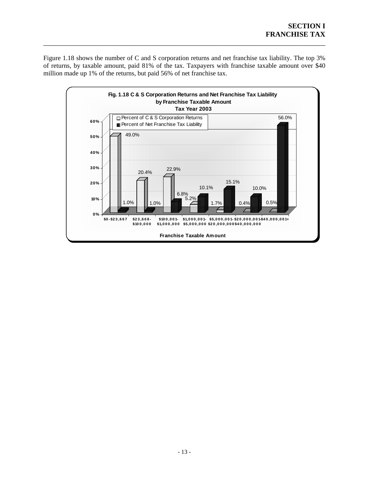Figure 1.18 shows the number of C and S corporation returns and net franchise tax liability. The top 3% of returns, by taxable amount, paid 81% of the tax. Taxpayers with franchise taxable amount over \$40 million made up 1% of the returns, but paid 56% of net franchise tax.

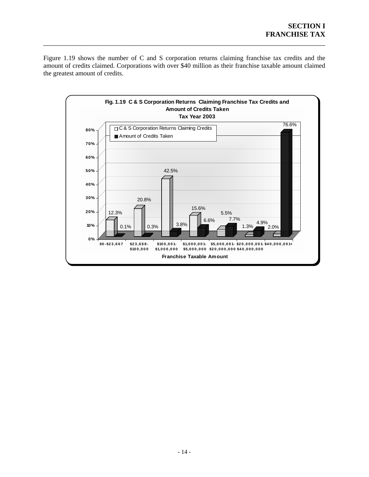Figure 1.19 shows the number of C and S corporation returns claiming franchise tax credits and the mount of credits claimed. Corporations with over \$40 million as their franchise taxable amount claimed a the greatest amount of credits.

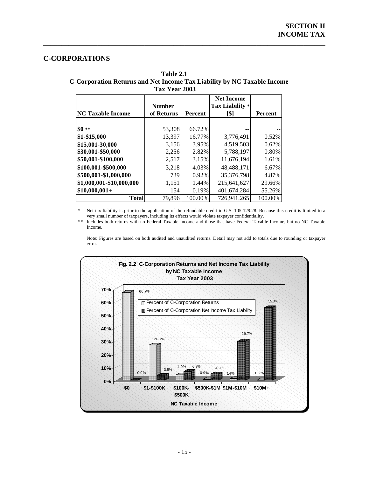# **C-CORPORATIONS**

 **Table 2.1 C-Corporation Returns and Net Income Tax Liability by NC Taxable Income Tax Year 2003** 

<span id="page-18-0"></span>\_\_\_\_\_\_\_\_\_\_\_\_\_\_\_\_\_\_\_\_\_\_\_\_\_\_\_\_\_\_\_\_\_\_\_\_\_\_\_\_\_\_\_\_\_\_\_\_\_\_\_\_\_\_\_\_\_\_\_\_\_\_\_\_\_\_\_\_\_\_\_\_\_\_\_\_\_\_

| <b>NC Taxable Income</b> | <b>Number</b><br>of Returns | <b>Percent</b> | <b>Net Income</b><br>Tax Liability *<br>[\$] | <b>Percent</b> |
|--------------------------|-----------------------------|----------------|----------------------------------------------|----------------|
|                          |                             |                |                                              |                |
| $$0**$                   | 53,308                      | 66.72%         |                                              |                |
| \$1-\$15,000             | 13,397                      | 16.77%         | 3,776,491                                    | 0.52%          |
| \$15,001-30,000          | 3,156                       | 3.95%          | 4,519,503                                    | 0.62%          |
| \$30,001-\$50,000        | 2,256                       | 2.82%          | 5,788,197                                    | 0.80%          |
| \$50,001-\$100,000       | 2,517                       | 3.15%          | 11,676,194                                   | 1.61%          |
| \$100,001-\$500,000      | 3,218                       | 4.03%          | 48,488,171                                   | 6.67%          |
| \$500,001-\$1,000,000    | 739                         | 0.92%          | 35,376,798                                   | 4.87%          |
| \$1,000,001-\$10,000,000 | 1,151                       | 1.44%          | 215,641,627                                  | 29.66%         |
| $$10,000,001+$           | 154                         | 0.19%          | 401,674,284                                  | 55.26%         |
| <b>Total</b>             | 79,896                      | 100.00%        | 726,941,265                                  | 100.00%        |

Net tax liability is prior to the application of the refundable credit in G.S. 105-129.28. Because this credit is limited to a very small number of taxpayers, including its effects would violate taxpayer confidentiality.

Includes both returns with no Federal Taxable Income and those that have Federal Taxable Income, but no NC Taxable Income.

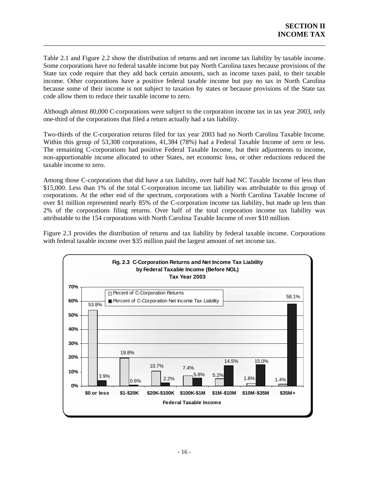Table 2.1 and Figure 2.2 show the distribution of returns and net income tax liability by taxable income. Some corporations have no federal taxable income but pay North Carolina taxes because provisions of the State tax code require that they add back certain amounts, such as income taxes paid, to their taxable income. Other corporations have a positive federal taxable income but pay no tax in North Carolina because some of their income is not subject to taxation by states or because provisions of the State tax code allow them to reduce their taxable income to zero.

\_\_\_\_\_\_\_\_\_\_\_\_\_\_\_\_\_\_\_\_\_\_\_\_\_\_\_\_\_\_\_\_\_\_\_\_\_\_\_\_\_\_\_\_\_\_\_\_\_\_\_\_\_\_\_\_\_\_\_\_\_\_\_\_\_\_\_\_\_\_\_\_\_\_\_\_\_\_

Although almost 80,000 C-corporations were subject to the corporation income tax in tax year 2003, only one-third of the corporations that filed a return actually had a tax liability.

Two-thirds of the C-corporation returns filed for tax year 2003 had no North Carolina Taxable Income. Within this group of 53,308 corporations, 41,384 (78%) had a Federal Taxable Income of zero or less. The remaining C-corporations had positive Federal Taxable Income, but their adjustments to income, non-apportionable income allocated to other States, net economic loss, or other reductions reduced the taxable income to zero.

Among those C-corporations that did have a tax liability, over half had NC Taxable Income of less than \$15,000. Less than 1% of the total C-corporation income tax liability was attributable to this group of corporations. At the other end of the spectrum, corporations with a North Carolina Taxable Income of over \$1 million represented nearly 85% of the C-corporation income tax liability, but made up less than 2% of the corporations filing returns. Over half of the total corporation income tax liability was attributable to the 154 corporations with North Carolina Taxable Income of over \$10 million.

Figure 2.3 provides the distribution of returns and tax liability by federal taxable income. Corporations with federal taxable income over \$35 million paid the largest amount of net income tax.

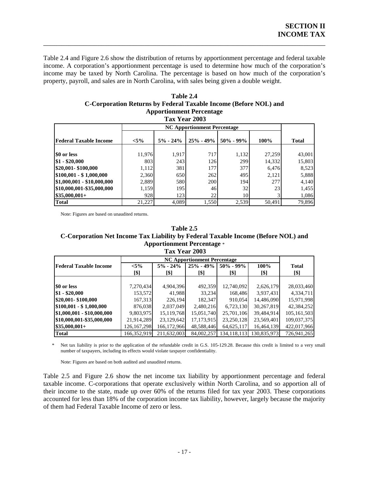Table 2.4 and Figure 2.6 show the distribution of returns by apportionment percentage and federal taxable income. A corporation's apportionment percentage is used to determine how much of the corporation's income may be taxed by North Carolina. The percentage is based on how much of the corporation's property, payroll, and sales are in North Carolina, with sales being given a double weight.

\_\_\_\_\_\_\_\_\_\_\_\_\_\_\_\_\_\_\_\_\_\_\_\_\_\_\_\_\_\_\_\_\_\_\_\_\_\_\_\_\_\_\_\_\_\_\_\_\_\_\_\_\_\_\_\_\_\_\_\_\_\_\_\_\_\_\_\_\_\_\_\_\_\_\_\_\_\_

| Table 2.4                                                        |
|------------------------------------------------------------------|
| C-Corporation Returns by Federal Taxable Income (Before NOL) and |
| <b>Apportionment Percentage</b>                                  |

|                               | Tax Year 2003 |              |               |               |        |              |  |  |  |
|-------------------------------|---------------|--------------|---------------|---------------|--------|--------------|--|--|--|
|                               |               |              |               |               |        |              |  |  |  |
| <b>Federal Taxable Income</b> | $< 5\%$       | $5\% - 24\%$ | $25\% - 49\%$ | $50\% - 99\%$ | 100%   | <b>Total</b> |  |  |  |
| \$0 or less                   | 11,976        | 1,917        | 717           | 1,132         | 27,259 | 43,001       |  |  |  |
| $$1 - $20,000$                | 803           | 243          | 126           | 299           | 14,332 | 15,803       |  |  |  |
| \$20,001-\$100,000            | 1,112         | 381          | 177           | 377           | 6,476  | 8,523        |  |  |  |
| $$100,001 - $1,000,000$       | 2,360         | 650          | 262           | 495           | 2,121  | 5,888        |  |  |  |
| $$1,000,001 - $10,000,000$    | 2,889         | 580          | 200           | 194           | 277    | 4,140        |  |  |  |
| \$10,000,001-\$35,000,000     | 1,159         | 195          | 46            | 32            | 23     | 1,455        |  |  |  |
| $$35,000,001+$                | 928           | 123          | 22            | 10            |        | 1,086        |  |  |  |
| <b>Total</b>                  | 21,227        | 4,089        | 1,550         | 2,539         | 50,491 | 79,896       |  |  |  |

Note: Figures are based on unaudited returns.

#### **Table 2.5**

#### **C-Corporation Net Income Tax Liability by Federal Taxable Income (Before NOL) and Apportionment Percentage** \*  **Tax Year 2003**

|                               | <b>NC Apportionment Percentage</b> |               |               |               |                              |               |  |
|-------------------------------|------------------------------------|---------------|---------------|---------------|------------------------------|---------------|--|
| <b>Federal Taxable Income</b> | $< 5\%$                            | $5\% - 24\%$  | $25\% - 49\%$ | $50\% - 99\%$ | 100%                         | <b>Total</b>  |  |
|                               | [\$]                               | [\$]          | [\$]          | [\$]          | $\lbrack \mathbb{S} \rbrack$ | [\$]          |  |
|                               |                                    |               |               |               |                              |               |  |
| \$0 or less                   | 7,270,434                          | 4,904,396     | 492,359       | 12,740,092    | 2,626,179                    | 28,033,460    |  |
| $$1 - $20,000$                | 153.572                            | 41.988        | 33.234        | 168,486       | 3,937,431                    | 4,334,711     |  |
| \$20,001-\$100,000            | 167,313                            | 226,194       | 182,347       | 910,054       | 14,486,090                   | 15,971,998    |  |
| $$100,001 - $1,000,000$       | 876,038                            | 2,037,049     | 2,480,216     | 6,723,130     | 30,267,819                   | 42,384,252    |  |
| \$1,000,001 - \$10,000,000    | 9,803,975                          | 15,119,768    | 15,051,740    | 25,701,106    | 39,484,914                   | 105, 161, 503 |  |
| \$10,000,001-\$35,000,000     | 21,914,289                         | 23,129,642    | 17,173,915    | 23,250,128    | 23,569,401                   | 109,037,375   |  |
| $$35,000,001+$                | 126, 167, 298                      | 166, 172, 966 | 48,588,446    | 64,625,117    | 16,464,139                   | 422,017,966   |  |
| <b>Total</b>                  | 166,352,919                        | 211,632,003   | 84,002,257    | 134, 118, 113 | 130,835,973                  | 726,941,265   |  |

Net tax liability is prior to the application of the refundable credit in G.S. 105-129.28. Because this credit is limited to a very small number of taxpayers, including its effects would violate taxpayer confidentiality.

Note: Figures are based on both audited and unaudited returns.

Table 2.5 and Figure 2.6 show the net income tax liability by apportionment percentage and federal taxable income. C-corporations that operate exclusively within North Carolina, and so apportion all of their income to the state, made up over 60% of the returns filed for tax year 2003. These corporations accounted for less than 18% of the corporation income tax liability, however, largely because the majority of them had Federal Taxable Income of zero or less.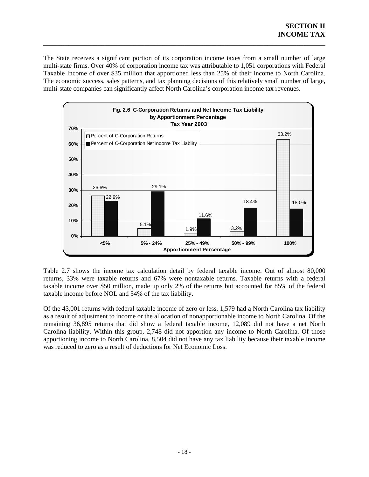The State receives a significant portion of its corporation income taxes from a small number of large multi-state firms. Over 40% of corporation income tax was attributable to 1,051 corporations with Federal Taxable Income of over \$35 million that apportioned less than 25% of their income to North Carolina. The economic success, sales patterns, and tax planning decisions of this relatively small number of large, multi-state companies can significantly affect North Carolina's corporation income tax revenues.

\_\_\_\_\_\_\_\_\_\_\_\_\_\_\_\_\_\_\_\_\_\_\_\_\_\_\_\_\_\_\_\_\_\_\_\_\_\_\_\_\_\_\_\_\_\_\_\_\_\_\_\_\_\_\_\_\_\_\_\_\_\_\_\_\_\_\_\_\_\_\_\_\_\_\_\_\_\_



Table 2.7 shows the income tax calculation detail by federal taxable income. Out of almost 80,000 returns, 33% were taxable returns and 67% were nontaxable returns. Taxable returns with a federal taxable income over \$50 million, made up only 2% of the returns but accounted for 85% of the federal taxable income before NOL and 54% of the tax liability.

Of the 43,001 returns with federal taxable income of zero or less, 1,579 had a North Carolina tax liability as a result of adjustment to income or the allocation of nonapportionable income to North Carolina. Of the remaining 36,895 returns that did show a federal taxable income, 12,089 did not have a net North Carolina liability. Within this group, 2,748 did not apportion any income to North Carolina. Of those apportioning income to North Carolina, 8,504 did not have any tax liability because their taxable income was reduced to zero as a result of deductions for Net Economic Loss.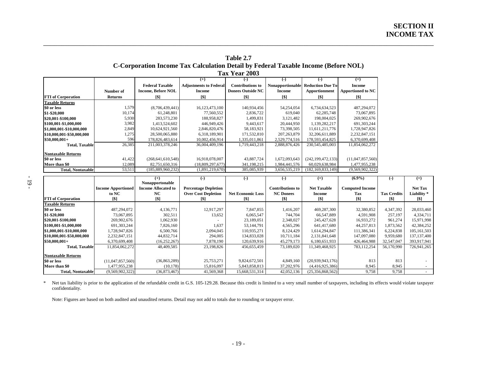| Table 2.7                                                                                 |  |
|-------------------------------------------------------------------------------------------|--|
| <b>C-Corporation Income Tax Calculation Detail by Federal Taxable Income (Before NOL)</b> |  |
| <b>Tax Year 2003</b>                                                                      |  |

\_\_\_\_\_\_\_\_\_\_\_\_\_\_\_\_\_\_\_\_\_\_\_\_\_\_\_\_\_\_\_\_\_\_\_\_\_\_\_\_\_\_\_\_\_\_\_\_\_\_\_\_\_\_\_\_\_\_\_\_\_\_\_\_\_\_\_\_\_\_\_\_\_\_\_\_\_\_\_\_\_\_\_\_\_\_\_\_\_\_\_\_\_\_\_\_\_\_\_\_\_\_\_\_\_\_\_\_

|                           |                |                           | $^{(+)}$                      | $\left( -\right)$        | $(-)$                   | $(-)$                    | $(=)$                    |
|---------------------------|----------------|---------------------------|-------------------------------|--------------------------|-------------------------|--------------------------|--------------------------|
|                           |                | <b>Federal Taxable</b>    | <b>Adjustments to Federal</b> | <b>Contributions to</b>  | <b>Nonapportionable</b> | <b>Reduction Due Tol</b> | <b>Income</b>            |
|                           | Number of      | <b>Income, Before NOL</b> | Income                        | <b>Donees Outside NC</b> | Income                  | Apportionment            | <b>Apportioned to NC</b> |
| <b>FTI</b> of Corporation | <b>Returns</b> | [\$]                      | [\$]                          | [\$]                     | [\$]                    | [\$]                     | [\$]                     |
| <b>Taxable Returns</b>    |                |                           |                               |                          |                         |                          |                          |
| \$0 or less               | 1,579          | (8,706,439,441)           | 16,123,473,100                | 140,934,456              | 54,254,054              | 6,734,634,523            | 487,294,072              |
| \$1-\$20,000              | 10,174         | 61.248.801                | 77,560,552                    | 2,836,722                | 619,040                 | 62,285,748               | 73,067,895               |
| \$20,001-\$100,000        | 5,930          | 283,573,230               | 188,958,827                   | 1.499.831                | 3,121,482               | 198,004,025              | 269,902,676              |
| \$100,001-\$1,000,000     | 3,982          | 1,413,524,602             | 446,949,426                   | 9,443,617                | 20,444,950              | 1.139.282.217            | 691, 303, 244            |
| \$1,000,001-\$10,000,000  | 2,849          | 10,624,921,560            | 2,846,820,476                 | 58,183,921               | 73,398,505              | 11,611,211,776           | 1,728,947,826            |
| \$10,000,001-\$50,000,000 | 1,275          | 28,500,065,880            | 6.318.189.901                 | 171,532,810              | 207.263.879             | 32,206,611,889           | 2,232,847,151            |
| \$50.000.001+             | 596            | 178.826.483.614           | 10,002,456,914                | 1,335,011,861            | 2,529,774,516           | 178, 593, 454, 825       | 6,370,699,408            |
| <b>Total, Taxable</b>     | 26,385         | 211,003,378,246           | 36,004,409,196                | 1,719,443,218            | 2,888,876,426           | 230, 545, 485, 003       | 11,854,062,272           |
| <b>Nontaxable Returns</b> |                |                           |                               |                          |                         |                          |                          |
| \$0 or less               | 41,422         | (268, 641, 610, 548)      | 16,918,078,007                | 43,887,724               | 1,672,093,643           | (242, 199, 472, 133)     | (11,047,857,560)         |
| More than \$0             | 12,089         | 82,751,650,316            | (18,809,297,677)              | 341,198,215              | 1,984,441,576           | 60,029,638,984           | 1,477,955,238            |
| <b>Total, Nontaxable</b>  | 53,511         | (185, 889, 960, 232)      | (1.891.219.670)               | 385,085,939              | 3.656.535.219           | (182, 169, 833, 149)     | (9,569,902,322)          |

|                           |                           | $(+)$                      | $(-)$                       | $(-)$                    | ( – )                   | $(=)$              | $(6.9\%)$              | $(-)$              | $(=)$          |
|---------------------------|---------------------------|----------------------------|-----------------------------|--------------------------|-------------------------|--------------------|------------------------|--------------------|----------------|
|                           |                           | Nonapportonable            |                             |                          |                         |                    |                        |                    |                |
|                           | <b>Income Apportioned</b> | <b>Income Allocated to</b> | <b>Percentage Depletion</b> |                          | <b>Contributions to</b> | <b>Net Taxable</b> | <b>Computed Income</b> |                    | <b>Net Tax</b> |
|                           | to NC                     | NC                         | <b>Over Cost Depletion</b>  | <b>Net Economic Loss</b> | <b>NC Donees</b>        | Income             | Tax                    | <b>Tax Credits</b> | Liability*     |
| <b>FTI</b> of Corporation | [\$]                      | $\lceil\$ \rceil$          | 1\$1                        | [\$]                     | [\$]                    | 1\$ I              | [\$]                   | [\$]               | [\$]           |
| <b>Taxable Returns</b>    |                           |                            |                             |                          |                         |                    |                        |                    |                |
| \$0 or less               | 487,294,072               | 4,136,771                  | 12,917,297                  | 7,847,855                | 1,416,207               | 469,287,300        | 32,380,852             | 4,347,392          | 28,033,460     |
| \$1-\$20,000              | 73,067,895                | 302,511                    | 13,652                      | 6,065,547                | 744,704                 | 66,547,889         | 4,591,908              | 257.197            | 4,334,711      |
| \$20,001-\$100,000        | 269,902,676               | 1,062,930                  |                             | 23,189,051               | 2,348,027               | 245, 427, 628      | 16,933,272             | 961,274            | 15,971,998     |
| \$100,001-\$1,000,000     | 691, 303, 244             | 7,826,160                  | 1,637                       | 53,144,791               | 4,565,296               | 641.417.680        | 44,257,813             | 1,873,562          | 42,384,252     |
| \$1,000,001-\$10,000,000  | 1,728,947,826             | 6,500,766                  | 2.094.045                   | 110.935.271              | 8,124,429               | 1,614,294,847      | 111,386,341            | 6,224,838          | 105, 161, 503  |
| \$10,000,001-\$50,000,000 | 2,232,847,151             | 44,832,714                 | 294,005                     | 134,833,028              | 10,711,184              | 2, 131, 841, 648   | 147,097,080            | 9,959,680          | 137, 137, 400  |
| $$50,000,001+$            | 6.370.699.408             | (16, 252, 267)             | 7,878,190                   | 120,639,916              | 45,279,173              | 6,180,651,933      | 426,464,988            | 32,547,047         | 393,917,941    |
| <b>Total, Taxable</b>     | 11,854,062,272            | 48,409,585                 | 23,198,826                  | 456,655,459              | 73,189,020              | 11,349,468,925     | 783,112,254            | 56,170,990         | 726,941,265    |
| <b>Nontaxable Returns</b> |                           |                            |                             |                          |                         |                    |                        |                    |                |
| \$0 or less               | (11,047,857,560)          | (36,863,289)               | 25,753,271                  | 9,824,672,501            | 4,849,160               | (20,939,943,176)   | 813                    | 813                |                |
| More than \$0             | 1,477,955,238             | (10, 178)                  | 15,816,097                  | 5,843,858,813            | 37,202,976              | (4,416,925,386)    | 8,945                  | 8,945              |                |
| <b>Total, Nontaxable</b>  | (9,569,902,322)           | (36,873,467)               | 41,569,368                  | 15,668,531,314           | 42,052,136              | (25,356,868,562)   | 9,758                  | 9,758              |                |

\* Net tax liability is prior to the application of the refundable credit in G.S. 105-129.28. Because this credit is limited to a very small number of taxpayers, including its effects would violate taxpayer confidentiality.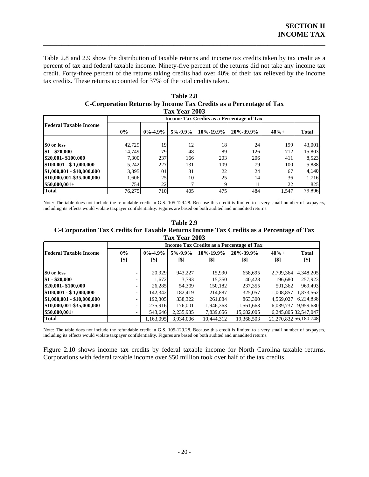Table 2.8 and 2.9 show the distribution of taxable returns and income tax credits taken by tax credit as a percent of tax and federal taxable income. Ninety-five percent of the returns did not take any income tax credit. Forty-three percent of the returns taking credits had over 40% of their tax relieved by the income tax credits. These returns accounted for 37% of the total credits taken.

\_\_\_\_\_\_\_\_\_\_\_\_\_\_\_\_\_\_\_\_\_\_\_\_\_\_\_\_\_\_\_\_\_\_\_\_\_\_\_\_\_\_\_\_\_\_\_\_\_\_\_\_\_\_\_\_\_\_\_\_\_\_\_\_\_\_\_\_\_\_\_\_\_\_\_\_\_\_

|                               |                                           |                 | 1 ax 1 ear 2005 |                 |                 |         |              |  |  |  |
|-------------------------------|-------------------------------------------|-----------------|-----------------|-----------------|-----------------|---------|--------------|--|--|--|
|                               | Income Tax Credits as a Percentage of Tax |                 |                 |                 |                 |         |              |  |  |  |
| <b>Federal Taxable Income</b> | $0\%$                                     | $0\% - 4.9\%$   | $5\% - 9.9\%$   | $10\% - 19.9\%$ | $20\% - 39.9\%$ | $40% +$ | <b>Total</b> |  |  |  |
| \$0 or less                   | 42.729                                    | 19 <sub>1</sub> | 12              | 18              | 24              | 199     | 43,001       |  |  |  |
| $$1 - $20,000$                | 14,749                                    | 79              | 48              | 89              | 126             | 712     | 15,803       |  |  |  |
| \$20,001-\$100,000            | 7,300                                     | 237             | 166             | 203             | 206             | 411     | 8,523        |  |  |  |
| $$100,001 - $1,000,000$       | 5,242                                     | 227             | 131             | 109             | 79              | 100     | 5,888        |  |  |  |
| \$1,000,001 - \$10,000,000    | 3,895                                     | 101             | 31              | 22              | 24              | 67      | 4,140        |  |  |  |
| \$10,000,001-\$35,000,000     | 1,606                                     | 25              | 10              | 25              | 14              | 36      | 1,716        |  |  |  |
| $$50,000,001+$                | 754 <sup>I</sup>                          | 22              |                 |                 |                 | 22      | 825          |  |  |  |
| <b>Total</b>                  | 76,275                                    | 710             | 405             | 475             | 484             | 1.547   | 79,896       |  |  |  |

 $2002$ **Table 2.8 C-Corporation Returns by Income Tax Credits as a Percentage of Tax** 

Note: The table does not include the refundable credit in G.S. 105-129.28. Because this credit is limited to a very small number of taxpayers, including its effects would violate taxpayer confidentiality. Figures are based on both audited and unaudited returns.

| Table 2.9                                                                               |
|-----------------------------------------------------------------------------------------|
| C-Corporation Tax Credits for Taxable Returns Income Tax Credits as a Percentage of Tax |
| Tax Year 2003                                                                           |

|                               | Income Tax Credits as a Percentage of Tax |                       |                       |                   |                   |                 |                       |
|-------------------------------|-------------------------------------------|-----------------------|-----------------------|-------------------|-------------------|-----------------|-----------------------|
| <b>Federal Taxable Income</b> | $0\%$<br>[\$]                             | $0\% - 4.9\%$<br>[\$] | $5\% - 9.9\%$<br>[\$] | 10%-19.9%<br>[\$] | 20%-39.9%<br>[\$] | $40% +$<br>[\$] | <b>Total</b><br>[\$]  |
|                               |                                           |                       |                       |                   |                   |                 |                       |
| \$0 or less                   |                                           | 20.929                | 943,227               | 15.990            | 658,695           | 2,709,364       | 4,348,205             |
| $$1 - $20,000$                |                                           | 1,672                 | 3.793                 | 15,350            | 40.428            | 196.680         | 257,923               |
| \$20,001-\$100,000            |                                           | 26.285                | 54,309                | 150,182           | 237,355           | 501,362         | 969,493               |
| $$100,001 - $1,000,000$       |                                           | 142.342               | 182.419               | 214.887           | 325,057           | 1,008,857       | 1,873,562             |
| $$1,000,001 - $10,000,000$    |                                           | 192,305               | 338,322               | 261,884           | 863,300           | 4,569,027       | 6,224,838             |
| \$10,000,001-\$35,000,000     | ۰.                                        | 235,916               | 176,001               | 1,946,363         | 1,561,663         | 6,039,737       | 9,959,680             |
| $$50,000,001+$                |                                           | 543,646               | 2,235,935             | 7,839,656         | 15.682,005        |                 | 6,245,805 32,547,047  |
| <b>Total</b>                  |                                           | 1,163,095             | 3,934,006             | 10,444,312        | 19,368,503        |                 | 21,270,832 56,180,748 |

Note: The table does not include the refundable credit in G.S. 105-129.28. Because this credit is limited to a very small number of taxpayers, including its effects would violate taxpayer confidentiality. Figures are based on both audited and unaudited returns.

Corporations with federal taxable income over \$50 million took over half of the tax credits. Figure 2.10 shows income tax credits by federal taxable income for North Carolina taxable returns.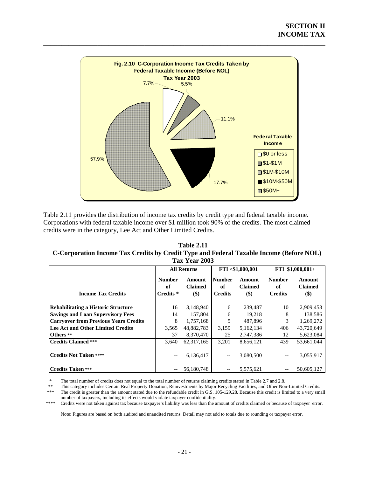

Table 2.11 provides the distribution of income tax credits by credit type and federal taxable income. Corporations with federal taxable income over \$1 million took 90% of the credits. The most claimed credits were in the category, Lee Act and Other Limited Credits.

**C-Corporation Income Tax Credits by Credit Type and Federal Taxable Income (Before NOL) T 3 ax Year 200 Table 2.11** 

|                                              |                                             | <b>All Returns</b>                     |                                       | FTI <\$1,000,001                | FTI \$1,000,001+                      |                                   |
|----------------------------------------------|---------------------------------------------|----------------------------------------|---------------------------------------|---------------------------------|---------------------------------------|-----------------------------------|
| <b>Income Tax Credits</b>                    | <b>Number</b><br>of<br>Credits <sup>*</sup> | <b>Amount</b><br><b>Claimed</b><br>\$) | <b>Number</b><br>of<br><b>Credits</b> | Amount<br><b>Claimed</b><br>\$) | <b>Number</b><br>оf<br><b>Credits</b> | Amount<br><b>Claimed</b><br>$($)$ |
|                                              |                                             |                                        |                                       |                                 |                                       |                                   |
| <b>Rehabilitating a Historic Structure</b>   | 16                                          | 3,148,940                              | 6                                     | 239,487                         | 10                                    | 2,909,453                         |
| <b>Savings and Loan Supervisory Fees</b>     | 14                                          | 157,804                                | 6                                     | 19,218                          | 8                                     | 138,586                           |
| <b>Carryover from Previous Years Credits</b> | 8                                           | 1,757,168                              | 5                                     | 487,896                         | 3                                     | 1,269,272                         |
| Lee Act and Other Limited Credits            | 3,565                                       | 48,882,783                             | 3,159                                 | 5,162,134                       | 406                                   | 43,720,649                        |
| Others **                                    | 37                                          | 8,370,470                              | 25                                    | 2,747,386                       | 12                                    | 5,623,084                         |
| <b>Credits Claimed ***</b>                   | 3.640                                       | 62, 317, 165                           | 3.201                                 | 8.656.121                       | 439                                   | 53.661.044                        |
| <b>Credits Not Taken ****</b>                | --                                          | 6,136,417                              | $\overline{\phantom{a}}$              | 3,080,500                       | $-$                                   | 3,055,917                         |
| <b>Credits Taken ***</b>                     |                                             | 56,180,748                             |                                       | 5,575,621                       |                                       | 50,605,127                        |

\* The total number of credits does not equal to the total number of returns claiming credits stated in Table 2.7 and 2.8.<br>\* This extensive Certain Real Property Departments by Maior Resulting Feelilties, and Other Nor

This category includes Certain Real Property Donation, Reinvestments by Major Recycling Facilities, and Other Non-Limited Credits.

 \*\*\* The credit is greater than the amount stated due to the refundable credit in G.S. 105-129.28. Because this credit is limited to a very small number of taxpayers, including its effects would violate taxpayer confidentiality.

\*\*\*\* Credits were not taken against tax because taxpayer's liability was less than the amount of credits claimed or because of taxpayer error.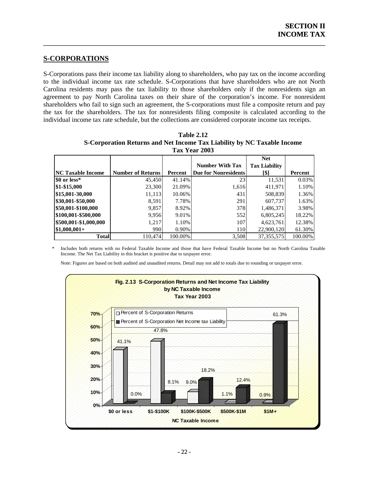## **S-CORPORATIONS**

S-Corporations pass their income tax liability along to shareholders, who pay tax on the income according to the individual income tax rate schedule. S-Corporations that have shareholders who are not North Carolina residents may pass the tax liability to those shareholders only if the nonresidents sign an agreement to pay North Carolina taxes on their share of the corporation's income. For nonresident shareholders who fail to sign such an agreement, the S-corporations must file a composite return and pay the tax for the shareholders. The tax for nonresidents filing composite is calculated according to the individual income tax rate schedule, but the collections are considered corporate income tax receipts.

<span id="page-25-0"></span> $\overline{\phantom{a}}$  , and the contract of the contract of the contract of the contract of the contract of the contract of the contract of the contract of the contract of the contract of the contract of the contract of the contrac

|                          |                          |         | Tax Year 2003               |                      |                |
|--------------------------|--------------------------|---------|-----------------------------|----------------------|----------------|
|                          |                          |         |                             | <b>Net</b>           |                |
|                          |                          |         | <b>Number With Tax</b>      | <b>Tax Liability</b> |                |
| <b>NC Taxable Income</b> | <b>Number of Returns</b> | Percent | <b>Due for Nonresidents</b> | [\$]                 | <b>Percent</b> |
| \$0 or less*             | 45,450                   | 41.14%  | 23                          | 11,531               | 0.03%          |
| \$1-\$15,000             | 23,300                   | 21.09%  | 1,616                       | 411,971              | 1.10%          |
| \$15,001-30,000          | 11,113                   | 10.06%  | 431                         | 508,839              | 1.36%          |
| \$30,001-\$50,000        | 8,591                    | 7.78%   | 291                         | 607,737              | 1.63%          |
| \$50,001-\$100,000       | 9,857                    | 8.92%   | 378                         | 1,486,371            | 3.98%          |
| \$100,001-\$500,000      | 9.956                    | 9.01%   | 552                         | 6,805,245            | 18.22%         |
| \$500,001-\$1,000,000    | 1,217                    | 1.10%   | 107                         | 4,623,761            | 12.38%         |
| $$1,000,001+$            | 990                      | 0.90%   | 110                         | 22,900,120           | 61.30%         |
| <b>Total</b>             | 110.474                  | 100.00% | 3,508                       | 37, 355, 575         | 100.00%        |

| <b>Table 2.12</b>                                                       |
|-------------------------------------------------------------------------|
| S-Corporation Returns and Net Income Tax Liability by NC Taxable Income |
| Tov Voor 2003                                                           |

\* Includes both returns with no Federal Taxable Income and those that have Federal Taxable Income but no North Carolina Taxable Income. The Net Tax Liability in this bracket is positive due to taxpayer error.

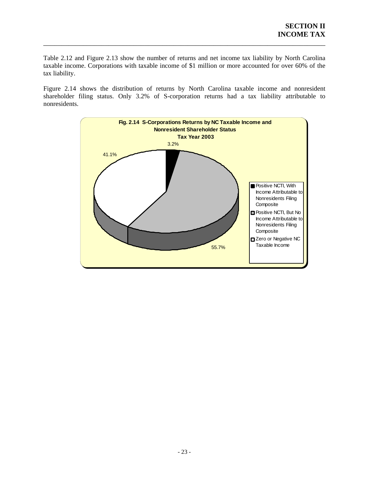Table 2.12 and Figure 2.13 show the number of returns and net income tax liability by North Carolina taxable income. Corporations with taxable income of \$1 million or more accounted for over 60% of the tax liability.

\_\_\_\_\_\_\_\_\_\_\_\_\_\_\_\_\_\_\_\_\_\_\_\_\_\_\_\_\_\_\_\_\_\_\_\_\_\_\_\_\_\_\_\_\_\_\_\_\_\_\_\_\_\_\_\_\_\_\_\_\_\_\_\_\_\_\_\_\_\_\_\_\_\_\_\_\_\_

Figure 2.14 shows the distribution of returns by North Carolina taxable income and nonresident shareholder filing status. Only 3.2% of S-corporation returns had a tax liability attributable to nonresidents.

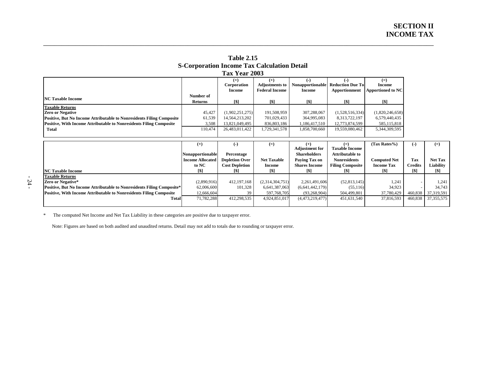|                                                                                                                                                     |                                  | Tax Year 2003                    |                                                         |                                                       |                                                   |                                             |
|-----------------------------------------------------------------------------------------------------------------------------------------------------|----------------------------------|----------------------------------|---------------------------------------------------------|-------------------------------------------------------|---------------------------------------------------|---------------------------------------------|
|                                                                                                                                                     |                                  | $(+)$<br>Corporation<br>Income   | $(+)$<br><b>Adjustments to</b><br><b>Federal Income</b> | <b>Nonapportionable</b><br><b>Income</b>              | <b>Reduction Due Tol</b><br>Apportionment         | $(=)$<br>Income<br><b>Apportioned to NC</b> |
| <b>NC Taxable Income</b>                                                                                                                            | Number of<br><b>Returns</b>      | [\$]                             | [\$]                                                    | [\$]                                                  | [\$]                                              | [\$]                                        |
| <b>Taxable Returns</b><br>Zero or Negative                                                                                                          | 45,427                           | (1,902,251,275)                  | 191,508,959                                             | 307,288,067                                           | (1,528,516,334)                                   | (1,820,246,658)                             |
| Positive, But No Income Attributable to Nonresidents Filing Composite<br><b>Positive, With Income Attributable to Nonresidents Filing Composite</b> | 61,539<br>3,508                  | 14,564,213,202<br>13.821.049.495 | 701,029,433<br>836,803,186                              | 364,995,083<br>1,186,417,510                          | 8,313,722,197<br>12,773,874,599                   | 6,579,440,435<br>585, 115, 818              |
| Total                                                                                                                                               | 110.474                          | 26,483,011,422                   | 1,729,341,578                                           | 1.858.700.660                                         | 19,559,080,462                                    | 5,344,309,595                               |
|                                                                                                                                                     |                                  |                                  |                                                         |                                                       |                                                   |                                             |
|                                                                                                                                                     | $(+)$<br><b>Nononportionable</b> | $(-)$<br>Percentage              | $(=)$                                                   | $(+)$<br><b>Adjustment for</b><br><b>Shareholders</b> | $(=)$<br><b>Taxable Income</b><br>Attributable to | (Tax Rates% )                               |

**Table 2.15 S-Corporation Income Tax Calculation Detail** 

\_\_\_\_\_\_\_\_\_\_\_\_\_\_\_\_\_\_\_\_\_\_\_\_\_\_\_\_\_\_\_\_\_\_\_\_\_\_\_\_\_\_\_\_\_\_\_\_\_\_\_\_\_\_\_\_\_\_\_\_\_\_\_\_\_\_\_\_\_\_\_\_\_\_\_\_\_\_\_\_\_\_\_\_\_\_\_\_\_\_\_\_\_\_\_\_\_\_\_\_\_\_\_\_\_\_\_\_

|                                                                               | $^{(+)}$                | ( – )                 | $(=)$              |                       |                         | (Tax Rates%)        | $(-)$             | $(=)$          |
|-------------------------------------------------------------------------------|-------------------------|-----------------------|--------------------|-----------------------|-------------------------|---------------------|-------------------|----------------|
|                                                                               |                         |                       |                    | <b>Adjustment for</b> | <b>Taxable Income</b>   |                     |                   |                |
|                                                                               | Nonapportionable        | Percentage            |                    | <b>Shareholders</b>   | <b>Attributable to</b>  |                     |                   |                |
|                                                                               | <b>Income Allocated</b> | <b>Depletion Over</b> | <b>Net Taxable</b> | Paving Tax on         | <b>Nonresidents</b>     | <b>Computed Net</b> | Tax               | <b>Net Tax</b> |
|                                                                               | to NC                   | <b>Cost Depletion</b> | <b>Income</b>      | <b>Shares Income</b>  | <b>Filing Composite</b> | <b>Income Tax</b>   | <b>Credits</b>    | Liability      |
| <b>NC Taxable Income</b>                                                      |                         | [\$]                  | [\$]               |                       |                         |                     | $\lceil\$ \rceil$ | [\$]           |
| <b>Taxable Returns</b>                                                        |                         |                       |                    |                       |                         |                     |                   |                |
| Zero or Negative*                                                             | (2,890,916)             | 412, 197, 168         | (2,314,304,751)    | 2,261,491,606         | (52, 813, 145)          | 1.241               |                   | 1.241          |
| <b>Positive, But No Income Attributable to Nonresidents Filing Composite*</b> | 62,006,600              | 101,328               | 6,641,387,063      | (6,641,442,179)       | (55, 116)               | 34,923              |                   | 34.743         |
| <b>Positive, With Income Attributable to Nonresidents Filing Composite</b>    | 12,666,604              | 39                    | 597,768,705        | (93,268,904)          | 504,499,801             | 37,780,429          | 460,838           | 37,319,591     |
| <b>Total</b>                                                                  | 71,782,288              | 412,298,535           | 4,924,851,017      | (4,473,219,477)       | 451,631,540             | 37,816,593          | 460.838           | 37,355,575     |
|                                                                               |                         |                       |                    |                       |                         |                     |                   |                |

\* The computed Net Income and Net Tax Liability in these categories are positive due to taxpayer error.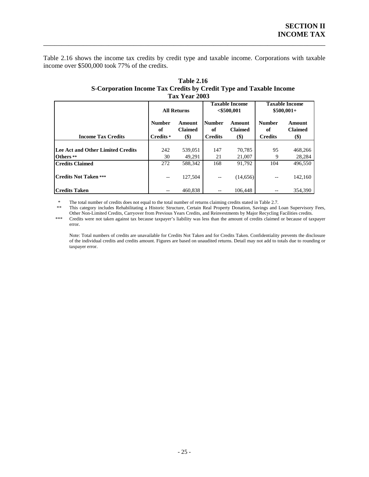Table 2.16 shows the income tax credits by credit type and taxable income. Corporations with taxable income over \$500,000 took 77% of the credits.

\_\_\_\_\_\_\_\_\_\_\_\_\_\_\_\_\_\_\_\_\_\_\_\_\_\_\_\_\_\_\_\_\_\_\_\_\_\_\_\_\_\_\_\_\_\_\_\_\_\_\_\_\_\_\_\_\_\_\_\_\_\_\_\_\_\_\_\_\_\_\_\_\_\_\_\_\_\_

|                                          |                                       | 1 ax 1 ear 2003                    |                                       |                                        |                                       |                                    |
|------------------------------------------|---------------------------------------|------------------------------------|---------------------------------------|----------------------------------------|---------------------------------------|------------------------------------|
|                                          |                                       | <b>All Returns</b>                 |                                       | <b>Taxable Income</b><br>$<$ \$500,001 | <b>Taxable Income</b><br>$$500,001+$  |                                    |
| <b>Income Tax Credits</b>                | <b>Number</b><br>of<br>Credits *      | Amount<br><b>Claimed</b><br>$(\$)$ | <b>Number</b><br>of<br><b>Credits</b> | Amount<br><b>Claimed</b><br>$(\$)$     | <b>Number</b><br>of<br><b>Credits</b> | Amount<br><b>Claimed</b><br>$(\$)$ |
|                                          |                                       |                                    |                                       |                                        |                                       |                                    |
| <b>Lee Act and Other Limited Credits</b> | 242                                   | 539,051                            | 147                                   | 70,785                                 | 95                                    | 468,266                            |
| Others **                                | 30                                    | 49,291                             | 21                                    | 21,007                                 | 9                                     | 28,284                             |
| <b>Credits Claimed</b>                   | 272                                   | 588.342                            | 168                                   | 91.792                                 | 104                                   | 496.550                            |
| <b>Credits Not Taken ***</b>             | $\hspace{0.05cm}$ – $\hspace{0.05cm}$ | 127,504                            | $\overline{\phantom{m}}$              | (14,656)                               | --                                    | 142,160                            |
| <b>Credits Taken</b>                     |                                       | 460.838                            |                                       | 106,448                                |                                       | 354,390                            |

#### **Table 2.16 S-Corporation Income Tax Credits by Credit Type and Taxable Income Tax Year 2003**

\* The total number of credits does not equal to the total number of returns claiming credits stated in Table 2.7.

\*\* This category includes Rehabilitating a Historic Structure, Certain Real Property Donation, Savings and Loan Supervisory Fees, Other Non-Limited Credits, Carryover from Previous Years Credits, and Reinvestments by Major Recycling Facilities credits.

\*\*\* Credits were not taken against tax because taxpayer's liability was less than the amount of credits claimed or because of taxpayer error. \*\*\*

Note: Total numbers of credits are unavailable for Credits Not Taken and for Credits Taken. Confidentiality prevents the disclosure of the individual credits and credits amount. Figures are based on unaudited returns. Detail may not add to totals due to rounding or taxpayer error.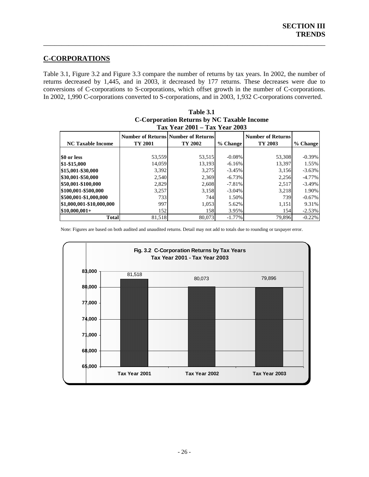# **C-CORPORATIONS**

Table 3.1, Figure 3.2 and Figure 3.3 compare the number of returns by tax years. In 2002, the number of returns decreased by 1,445, and in 2003, it decreased by 177 returns. These decreases were due to conversions of C -corporations to S-corporations, which offset growth in the number of C-corporations. In 2002, 1,990 C-corporations converted to S-corporations, and in 2003, 1,932 C-corporations converted.

<span id="page-29-0"></span>\_\_\_\_\_\_\_\_\_\_\_\_\_\_\_\_\_\_\_\_\_\_\_\_\_\_\_\_\_\_\_\_\_\_\_\_\_\_\_\_\_\_\_\_\_\_\_\_\_\_\_\_\_\_\_\_\_\_\_\_\_\_\_\_\_\_\_\_\_\_\_\_\_\_\_\_\_\_

|                          |         | <b>Tax Year 2001 - Tax Year 2003</b>                  |           |                                     |           |
|--------------------------|---------|-------------------------------------------------------|-----------|-------------------------------------|-----------|
| <b>NC Taxable Income</b> | TY 2001 | <b>Number of Returns Number of Returns</b><br>TY 2002 | % Change  | <b>Number of Returns</b><br>TY 2003 | % Change  |
| SO or less               | 53,559  | 53,515                                                | $-0.08%$  | 53,308                              | $-0.39%$  |
| \$1-\$15,000             | 14,059  | 13,193                                                | $-6.16%$  | 13,397                              | 1.55%     |
| \$15,001-\$30,000        | 3,392   | 3,275                                                 | $-3.45%$  | 3,156                               | $-3.63\%$ |
| \$30,001-\$50,000        | 2,540   | 2,369                                                 | $-6.73\%$ | 2,256                               | $-4.77\%$ |
| \$50,001-\$100,000       | 2,829   | 2.608                                                 | $-7.81%$  | 2,517                               | $-3.49%$  |
| \$100,001-\$500,000      | 3,257   | 3,158                                                 | $-3.04\%$ | 3,218                               | 1.90%     |
| \$500,001-\$1,000,000    | 733     | 744                                                   | 1.50%     | 739                                 | $-0.67\%$ |
| \$1,000,001-\$10,000,000 | 997     | 1,053                                                 | 5.62%     | 1,151                               | 9.31%     |
| $$10,000,001+$           | 152     | 158                                                   | 3.95%     | 154                                 | $-2.53%$  |
| Total                    | 81,518  | 80,073                                                | $-1.77\%$ | 79.896                              | $-0.22%$  |

| Table 3.1                                         |
|---------------------------------------------------|
| <b>C-Corporation Returns by NC Taxable Income</b> |
| Tax Year 2001 – Tax Year 2003                     |

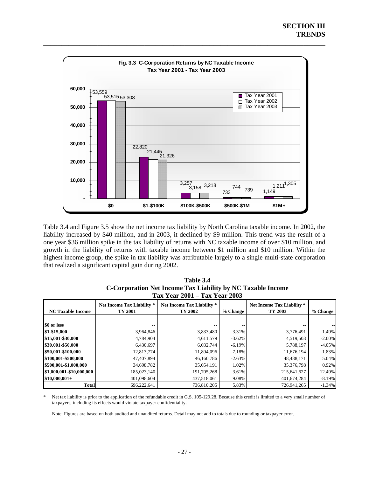

Table 3.4 and Figure 3.5 show the net income tax liability by North Carolina taxable income. In 2002, the liability increased by \$40 million, and in 2003, it declined by \$9 million. This trend was the result of a one year \$36 million spike in the tax liability of returns with NC taxable income of over \$10 million, and growth in the liability of returns with taxable income between \$1 million and \$10 million. Within the highest income group, the spike in tax liability was attributable largely to a single multi-state corporation that realized a significant capital gain during 2002.

| $1a \lambda$ it can give $I = 1a \lambda$ it can give |                                              |                                       |           |                                       |           |  |  |
|-------------------------------------------------------|----------------------------------------------|---------------------------------------|-----------|---------------------------------------|-----------|--|--|
| <b>NC Taxable Income</b>                              | <b>Net Income Tax Liability *</b><br>TY 2001 | Net Income Tax Liability *<br>TY 2002 | % Change  | Net Income Tax Liability *<br>TY 2003 | % Change  |  |  |
|                                                       |                                              |                                       |           |                                       |           |  |  |
| \$0 or less                                           |                                              |                                       |           |                                       |           |  |  |
| \$1-\$15,000                                          | 3,964,846                                    | 3,833,480                             | $-3.31\%$ | 3,776,491                             | $-1.49%$  |  |  |
| \$15,001-\$30,000                                     | 4,784,904                                    | 4,611,579                             | $-3.62\%$ | 4,519,503                             | $-2.00\%$ |  |  |
| \$30,001-\$50,000                                     | 6,430,697                                    | 6,032,744                             | $-6.19\%$ | 5,788,197                             | $-4.05%$  |  |  |
| \$50,001-\$100,000                                    | 12,813,774                                   | 11,894,096                            | $-7.18\%$ | 11,676,194                            | $-1.83%$  |  |  |
| \$100,001-\$500,000                                   | 47,407,894                                   | 46,160,786                            | $-2.63\%$ | 48,488,171                            | 5.04%     |  |  |
| \$500,001-\$1,000,000                                 | 34,698,782                                   | 35,054,191                            | 1.02%     | 35,376,798                            | 0.92%     |  |  |
| \$1,000,001-\$10,000,000                              | 185,023,140                                  | 191,705,268                           | 3.61%     | 215,641,627                           | 12.49%    |  |  |
| $$10,000,001+$                                        | 401,098,604                                  | 437,518,061                           | 9.08%     | 401,674,284                           | $-8.19%$  |  |  |
| <b>Total</b>                                          | 696,222,641                                  | 736,810,205                           | 5.83%     | 726,941,265                           | $-1.34%$  |  |  |

**Table 3.4 C-Corporation Net Income Tax Liability by NC Taxable Income Tax Year 2001 – Tax Year 2003** 

\* Net tax liability is prior to the application of the refundable credit in G.S. 105-129.28. Because this credit is limited to a very small number of taxpayers, including its effects would violate taxpayer confidentiality.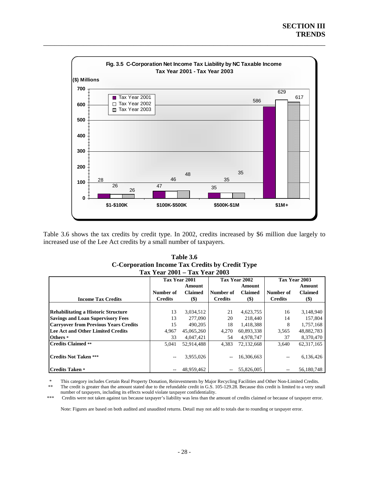

Table 3.6 shows the tax credits by credit type. In 2002, credits increased by \$6 million due largely to increased use of the Lee Act credits by a small number of taxpayers.

| Table 3.6                                       |
|-------------------------------------------------|
| C-Corporation Income Tax Credits by Credit Type |
| Tax Year 2001 – Tax Year 2003                   |

|                                              |                | Tax Year 2001  | Tax Year 2002            |                | Tax Year 2003  |                |
|----------------------------------------------|----------------|----------------|--------------------------|----------------|----------------|----------------|
|                                              |                | Amount         |                          | Amount         |                | Amount         |
|                                              | Number of      | <b>Claimed</b> | Number of                | <b>Claimed</b> | Number of      | <b>Claimed</b> |
| <b>Income Tax Credits</b>                    | <b>Credits</b> | $($ \$)        | <b>Credits</b>           | $($)$          | <b>Credits</b> | $($)$          |
|                                              |                |                |                          |                |                |                |
| <b>Rehabilitating a Historic Structure</b>   | 13             | 3,034,512      | 21                       | 4,623,755      | 16             | 3,148,940      |
| <b>Savings and Loan Supervisory Fees</b>     | 13             | 277,090        | 20                       | 218,440        | 14             | 157,804        |
| <b>Carryover from Previous Years Credits</b> | 15             | 490,205        | 18                       | 1,418,388      | 8              | 1,757,168      |
| Lee Act and Other Limited Credits            | 4,967          | 45,065,260     | 4,270                    | 60,893,338     | 3,565          | 48,882,783     |
| Others *                                     | 33             | 4,047,421      | 54                       | 4,978,747      | 37             | 8,370,470      |
| <b>Credits Claimed **</b>                    | 5.041          | 52.914.488     | 4,383                    | 72.132.668     | 3.640          | 62, 317, 165   |
|                                              |                |                |                          |                |                |                |
| <b>Credits Not Taken ***</b>                 | --             | 3,955,026      | $\overline{\phantom{a}}$ | 16,306,663     |                | 6,136,426      |
|                                              |                |                |                          |                |                |                |
| <b>Credits Taken*</b>                        |                | 48.959.462     | $\overline{\phantom{m}}$ | 55,826,005     | --             | 56,180,748     |

This category includes Certain Real Property Donation, Reinvestments by Major Recycling Facilities and Other Non-Limited Credits. The credit is greater than the amount stated due to the refundable credit in G.S. 105-129.28. Because this credit is limited to a very small

number of taxpayers, including its effects would violate taxpayer confidentiality.

\*\*\* Credits were not taken against tax because taxpayer's liability was less than the amount of credits claimed or because of taxpayer error.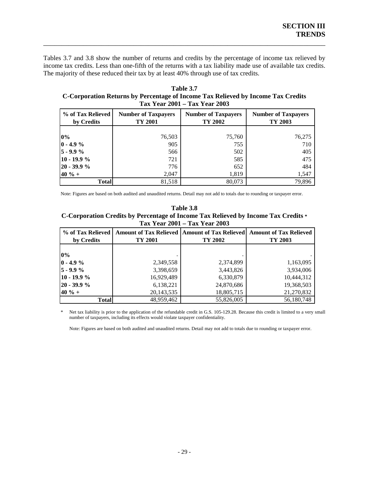Tables 3.7 and 3.8 show the number of returns and credits by the percentage of income tax relieved by income tax credits. Less than one-fifth of the returns with a tax liability made use of available tax credits. The majority of these reduced their tax by at least 40% through use of tax credits.

\_\_\_\_\_\_\_\_\_\_\_\_\_\_\_\_\_\_\_\_\_\_\_\_\_\_\_\_\_\_\_\_\_\_\_\_\_\_\_\_\_\_\_\_\_\_\_\_\_\_\_\_\_\_\_\_\_\_\_\_\_\_\_\_\_\_\_\_\_\_\_\_\_\_\_\_\_\_

**Table 3.7 C-Corporation Returns by Percentage of Income Tax Relieved by Income Tax Credits Tax Year 2001 – Tax Year 2003** 

| % of Tax Relieved<br><b>Number of Taxpayers</b><br>TY 2001<br>by Credits |        | <b>Number of Taxpayers</b><br>TY 2002 | <b>Number of Taxpayers</b><br>TY 2003 |  |
|--------------------------------------------------------------------------|--------|---------------------------------------|---------------------------------------|--|
|                                                                          |        |                                       |                                       |  |
| 0%                                                                       | 76,503 | 75,760                                | 76,275                                |  |
| $0 - 4.9 \%$                                                             | 905    | 755                                   | 710                                   |  |
| $5 - 9.9%$                                                               | 566    | 502                                   | 405                                   |  |
| $10 - 19.9%$                                                             | 721    | 585                                   | 475                                   |  |
| $20 - 39.9 %$                                                            | 776    | 652                                   | 484                                   |  |
| $40 \% +$                                                                | 2,047  | 1,819                                 | 1,547                                 |  |
| <b>Total</b>                                                             | 81,518 | 80,073                                | 79,896                                |  |

Note: Figures are based on both audited and unaudited returns. Detail may not add to totals due to rounding or taxpayer error.

C-Corporation Credits by Percentage of Income Tax Relieved by Income Tax Credits \* **Table 3.8 Tax Year 2001 – Tax Year 2003** 

| % of Tax Relieved<br>by Credits | <b>Amount of Tax Relieved   Amount of Tax Relieved  </b><br>TY 2001 |            | <b>Amount of Tax Relieved</b><br>TY 2003 |  |
|---------------------------------|---------------------------------------------------------------------|------------|------------------------------------------|--|
| 0%                              |                                                                     |            |                                          |  |
| $0 - 4.9 \%$                    | 2,349,558                                                           | 2,374,899  | 1,163,095                                |  |
| $5 - 9.9 \%$                    | 3,398,659                                                           | 3,443,826  | 3,934,006                                |  |
| $10 - 19.9%$                    | 16,929,489                                                          | 6,330,879  | 10,444,312                               |  |
| $20 - 39.9 %$                   | 6,138,221                                                           | 24,870,686 | 19,368,503                               |  |
| $140 \% +$                      | 20,143,535                                                          | 18,805,715 | 21,270,832                               |  |
| <b>Total</b>                    | 48,959,462                                                          | 55,826,005 | 56,180,748                               |  |

Net tax liability is prior to the application of the refundable credit in G.S. 105-129.28. Because this credit is limited to a very small number of taxpayers, including its effects would violate taxpayer confidentiality.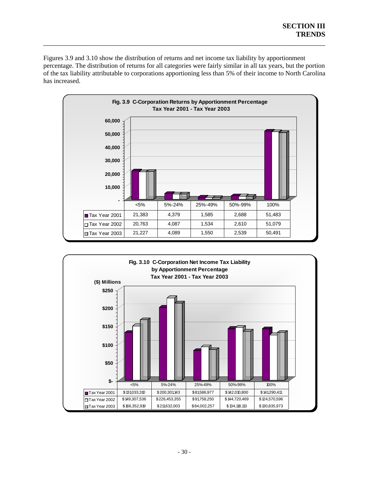Figures 3.9 and 3.10 show the distribution of returns and net income tax liability by apportionment percentage. The distribution of returns for all categories were fairly similar in all tax years, but the portion of the tax liability attributable to corporations apportioning less than 5% of their income to North Carolina has increased.



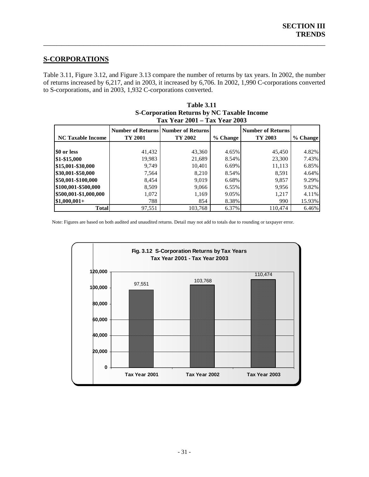# **S-CORPORATIONS**

Table 3.11, Figure 3.12, and Figure 3.13 compare the number of returns by tax years. In 2002, the number of returns increased by 6,217, and in 2003, it increased by 6,706. In 2002, 1,990 C-corporations converted to S-corporations, and in 2003, 1,932 C-corporations converted.

<span id="page-34-0"></span>\_\_\_\_\_\_\_\_\_\_\_\_\_\_\_\_\_\_\_\_\_\_\_\_\_\_\_\_\_\_\_\_\_\_\_\_\_\_\_\_\_\_\_\_\_\_\_\_\_\_\_\_\_\_\_\_\_\_\_\_\_\_\_\_\_\_\_\_\_\_\_\_\_\_\_\_\_\_

| <b>Tax Year 2001 - Tax Year 2003</b> |         |                                                         |          |                                     |          |  |  |  |
|--------------------------------------|---------|---------------------------------------------------------|----------|-------------------------------------|----------|--|--|--|
| <b>NC Taxable Income</b>             | TY 2001 | <b>Number of Returns   Number of Returns</b><br>TY 2002 | % Change | <b>Number of Returns</b><br>TY 2003 | % Change |  |  |  |
|                                      |         |                                                         |          |                                     |          |  |  |  |
| \$0 or less                          | 41,432  | 43,360                                                  | 4.65%    | 45,450                              | 4.82%    |  |  |  |
| \$1-\$15,000                         | 19.983  | 21,689                                                  | 8.54%    | 23,300                              | 7.43%    |  |  |  |
| \$15,001-\$30,000                    | 9.749   | 10.401                                                  | 6.69%    | 11,113                              | 6.85%    |  |  |  |
| \$30,001-\$50,000                    | 7,564   | 8,210                                                   | 8.54%    | 8.591                               | 4.64%    |  |  |  |
| \$50,001-\$100,000                   | 8,454   | 9.019                                                   | 6.68%    | 9,857                               | 9.29%    |  |  |  |
| \$100,001-\$500,000                  | 8.509   | 9.066                                                   | 6.55%    | 9,956                               | 9.82%    |  |  |  |
| \$500,001-\$1,000,000                | 1,072   | 1,169                                                   | 9.05%    | 1,217                               | 4.11%    |  |  |  |
| $$1,000,001+$                        | 788     | 854                                                     | 8.38%    | 990                                 | 15.93%   |  |  |  |
| <b>Total</b>                         | 97,551  | 103.768                                                 | 6.37%    | 110.474                             | 6.46%    |  |  |  |

| <b>Table 3.11</b>                                 |
|---------------------------------------------------|
| <b>S-Corporation Returns by NC Taxable Income</b> |
| Tax Year 2001 – Tax Year 2003                     |

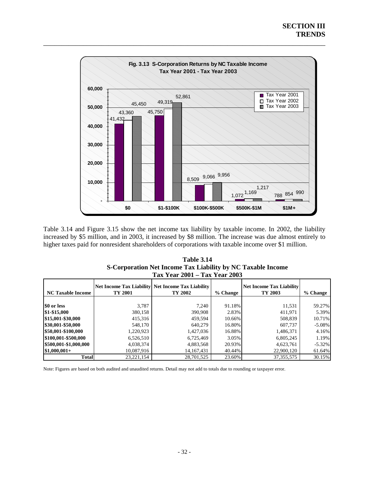

Table 3.14 and Figure 3.15 show the net income tax liability by taxable income. In 2002, the liability increased by \$5 million, and in 2003, it increased by \$8 million. The increase was due almost entirely to higher taxes paid for nonresident shareholders of corporations with taxable income over \$1 million.

| <b>Table 3.14</b>                                           |
|-------------------------------------------------------------|
| S-Corporation Net Income Tax Liability by NC Taxable Income |
| Tax Year 2001 – Tax Year 2003                               |

| <b>NC Taxable Income</b> | TY 2001      | <b>Net Income Tax Liability Net Income Tax Liability</b><br>TY 2002 | % Change | <b>Net Income Tax Liability</b><br>TY 2003 | % Change  |
|--------------------------|--------------|---------------------------------------------------------------------|----------|--------------------------------------------|-----------|
|                          |              |                                                                     |          |                                            |           |
| \$0 or less              | 3,787        | 7.240                                                               | 91.18%   | 11,531                                     | 59.27%    |
| \$1-\$15,000             | 380,158      | 390,908                                                             | 2.83%    | 411,971                                    | 5.39%     |
| \$15,001-\$30,000        | 415,316      | 459.594                                                             | 10.66%   | 508,839                                    | 10.71%    |
| \$30,001-\$50,000        | 548,170      | 640,279                                                             | 16.80%   | 607,737                                    | $-5.08\%$ |
| \$50,001-\$100,000       | 1,220,923    | 1,427,036                                                           | 16.88%   | 1,486,371                                  | 4.16%     |
| \$100,001-\$500,000      | 6,526,510    | 6,725,469                                                           | $3.05\%$ | 6,805,245                                  | 1.19%     |
| \$500,001-\$1,000,000    | 4,038,374    | 4,883,568                                                           | 20.93%   | 4,623,761                                  | $-5.32\%$ |
| $$1,000,001+$            | 10.087.916   | 14, 167, 431                                                        | 40.44%   | 22,900,120                                 | 61.64%    |
| <b>Total</b>             | 23, 221, 154 | 28,701,525                                                          | 23.60%   | 37, 355, 575                               | 30.15%    |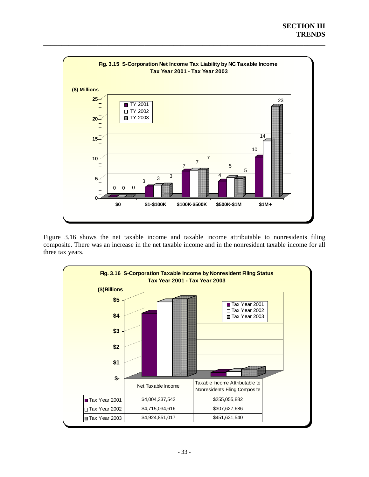

Figure 3.16 shows the net taxable income and taxable income attributable to nonresidents filing composite. There was an increase in the net taxable income and in the nonresident taxable income for all three tax years.